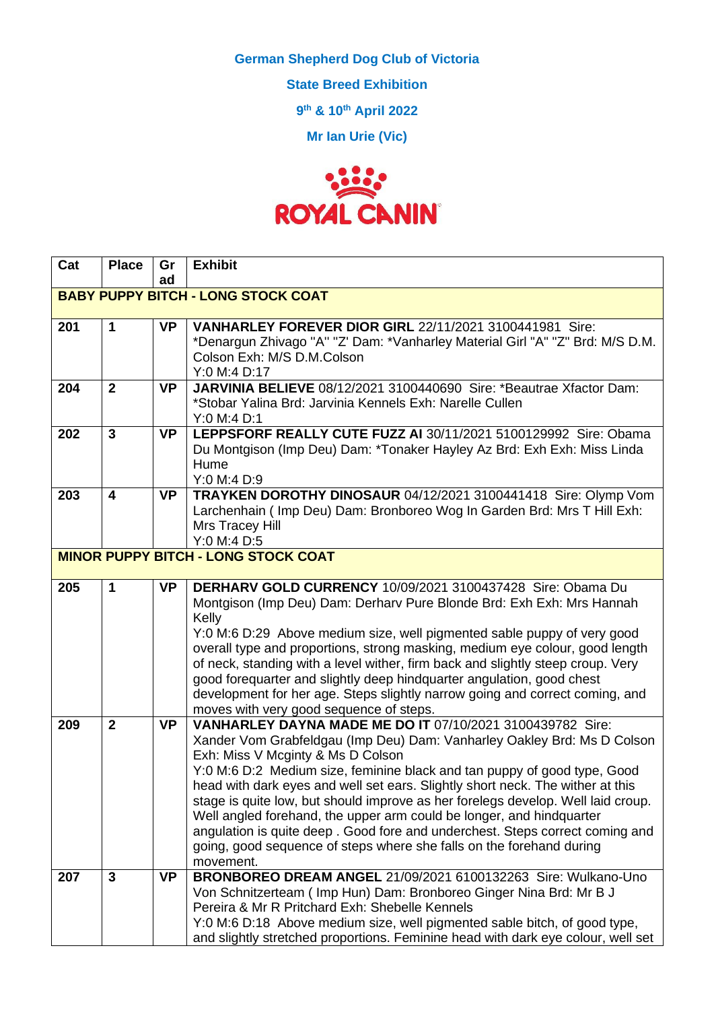**German Shepherd Dog Club of Victoria**

**State Breed Exhibition**

**9 th & 10th April 2022**

**Mr Ian Urie (Vic)**



| Cat                                       | <b>Place</b>   | Gr        | <b>Exhibit</b>                                                                                                                                           |
|-------------------------------------------|----------------|-----------|----------------------------------------------------------------------------------------------------------------------------------------------------------|
|                                           |                | ad        |                                                                                                                                                          |
| <b>BABY PUPPY BITCH - LONG STOCK COAT</b> |                |           |                                                                                                                                                          |
| 201                                       | 1              | <b>VP</b> | VANHARLEY FOREVER DIOR GIRL 22/11/2021 3100441981 Sire:                                                                                                  |
|                                           |                |           | *Denargun Zhivago "A" "Z' Dam: *Vanharley Material Girl "A" "Z" Brd: M/S D.M.                                                                            |
|                                           |                |           | Colson Exh: M/S D.M.Colson                                                                                                                               |
|                                           |                |           | Y:0 M:4 D:17                                                                                                                                             |
| 204                                       | $\overline{2}$ | <b>VP</b> | JARVINIA BELIEVE 08/12/2021 3100440690 Sire: *Beautrae Xfactor Dam:<br>*Stobar Yalina Brd: Jarvinia Kennels Exh: Narelle Cullen                          |
|                                           |                |           | Y:0 M:4 D:1                                                                                                                                              |
| 202                                       | $\overline{3}$ | <b>VP</b> | LEPPSFORF REALLY CUTE FUZZ AI 30/11/2021 5100129992 Sire: Obama                                                                                          |
|                                           |                |           | Du Montgison (Imp Deu) Dam: *Tonaker Hayley Az Brd: Exh Exh: Miss Linda                                                                                  |
|                                           |                |           | Hume                                                                                                                                                     |
|                                           |                |           | Y:0 M:4 D:9                                                                                                                                              |
| 203                                       | 4              | <b>VP</b> | TRAYKEN DOROTHY DINOSAUR 04/12/2021 3100441418 Sire: Olymp Vom                                                                                           |
|                                           |                |           | Larchenhain (Imp Deu) Dam: Bronboreo Wog In Garden Brd: Mrs T Hill Exh:                                                                                  |
|                                           |                |           | Mrs Tracey Hill                                                                                                                                          |
|                                           |                |           | Y:0 M:4 D:5                                                                                                                                              |
|                                           |                |           | <b>MINOR PUPPY BITCH - LONG STOCK COAT</b>                                                                                                               |
| 205                                       | 1              | <b>VP</b> | DERHARV GOLD CURRENCY 10/09/2021 3100437428 Sire: Obama Du                                                                                               |
|                                           |                |           | Montgison (Imp Deu) Dam: Derharv Pure Blonde Brd: Exh Exh: Mrs Hannah                                                                                    |
|                                           |                |           | Kelly                                                                                                                                                    |
|                                           |                |           | Y:0 M:6 D:29 Above medium size, well pigmented sable puppy of very good                                                                                  |
|                                           |                |           | overall type and proportions, strong masking, medium eye colour, good length                                                                             |
|                                           |                |           | of neck, standing with a level wither, firm back and slightly steep croup. Very<br>good forequarter and slightly deep hindquarter angulation, good chest |
|                                           |                |           | development for her age. Steps slightly narrow going and correct coming, and                                                                             |
|                                           |                |           | moves with very good sequence of steps.                                                                                                                  |
| 209                                       | $\mathbf{2}$   | <b>VP</b> | VANHARLEY DAYNA MADE ME DO IT 07/10/2021 3100439782 Sire:                                                                                                |
|                                           |                |           | Xander Vom Grabfeldgau (Imp Deu) Dam: Vanharley Oakley Brd: Ms D Colson                                                                                  |
|                                           |                |           | Exh: Miss V Mcginty & Ms D Colson                                                                                                                        |
|                                           |                |           | Y:0 M:6 D:2 Medium size, feminine black and tan puppy of good type, Good                                                                                 |
|                                           |                |           | head with dark eyes and well set ears. Slightly short neck. The wither at this                                                                           |
|                                           |                |           | stage is quite low, but should improve as her forelegs develop. Well laid croup.                                                                         |
|                                           |                |           | Well angled forehand, the upper arm could be longer, and hindquarter<br>angulation is quite deep. Good fore and underchest. Steps correct coming and     |
|                                           |                |           | going, good sequence of steps where she falls on the forehand during                                                                                     |
|                                           |                |           | movement.                                                                                                                                                |
| 207                                       | 3              | <b>VP</b> | BRONBOREO DREAM ANGEL 21/09/2021 6100132263 Sire: Wulkano-Uno                                                                                            |
|                                           |                |           | Von Schnitzerteam (Imp Hun) Dam: Bronboreo Ginger Nina Brd: Mr B J                                                                                       |
|                                           |                |           | Pereira & Mr R Pritchard Exh: Shebelle Kennels                                                                                                           |
|                                           |                |           | Y:0 M:6 D:18 Above medium size, well pigmented sable bitch, of good type,                                                                                |
|                                           |                |           | and slightly stretched proportions. Feminine head with dark eye colour, well set                                                                         |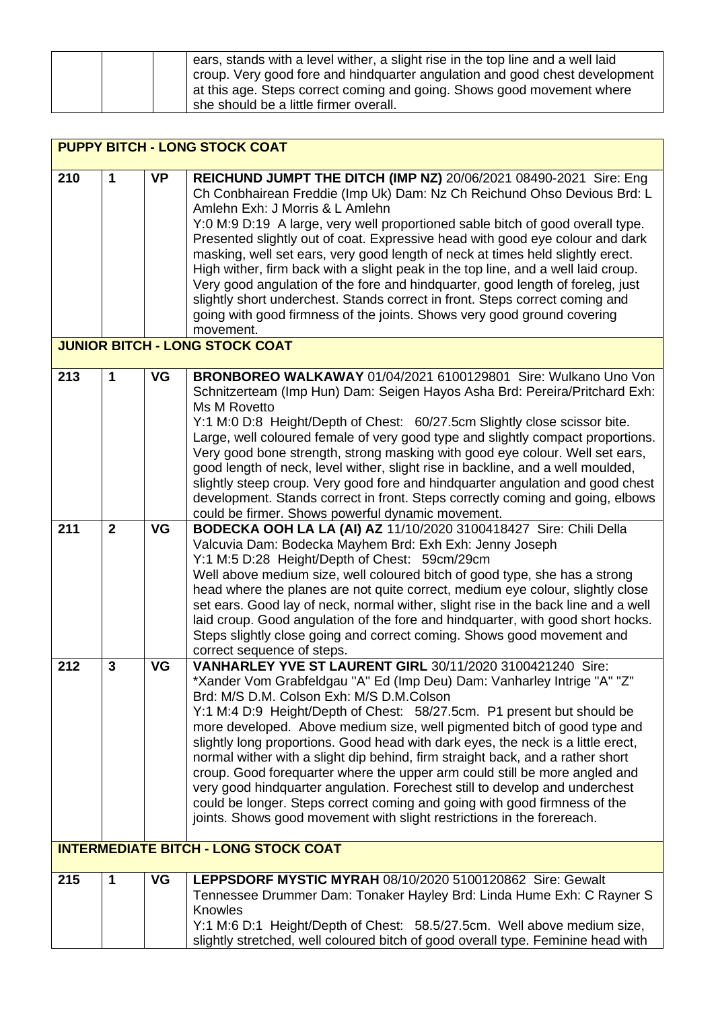| ears, stands with a level wither, a slight rise in the top line and a well laid<br>croup. Very good fore and hindquarter angulation and good chest development<br>at this age. Steps correct coming and going. Shows good movement where<br>she should be a little firmer overall. |
|------------------------------------------------------------------------------------------------------------------------------------------------------------------------------------------------------------------------------------------------------------------------------------|
|------------------------------------------------------------------------------------------------------------------------------------------------------------------------------------------------------------------------------------------------------------------------------------|

|     | <b>PUPPY BITCH - LONG STOCK COAT</b> |           |                                                                                                                                                                                                                                                                                                                                                                                                                                                                                                                                                                                                                                                                                                                                                                                                                                  |  |
|-----|--------------------------------------|-----------|----------------------------------------------------------------------------------------------------------------------------------------------------------------------------------------------------------------------------------------------------------------------------------------------------------------------------------------------------------------------------------------------------------------------------------------------------------------------------------------------------------------------------------------------------------------------------------------------------------------------------------------------------------------------------------------------------------------------------------------------------------------------------------------------------------------------------------|--|
| 210 | $\mathbf 1$                          | <b>VP</b> | REICHUND JUMPT THE DITCH (IMP NZ) 20/06/2021 08490-2021 Sire: Eng<br>Ch Conbhairean Freddie (Imp Uk) Dam: Nz Ch Reichund Ohso Devious Brd: L<br>Amlehn Exh: J Morris & L Amlehn<br>Y:0 M:9 D:19 A large, very well proportioned sable bitch of good overall type.<br>Presented slightly out of coat. Expressive head with good eye colour and dark<br>masking, well set ears, very good length of neck at times held slightly erect.<br>High wither, firm back with a slight peak in the top line, and a well laid croup.<br>Very good angulation of the fore and hindquarter, good length of foreleg, just<br>slightly short underchest. Stands correct in front. Steps correct coming and<br>going with good firmness of the joints. Shows very good ground covering<br>movement.<br><b>JUNIOR BITCH - LONG STOCK COAT</b>     |  |
|     |                                      |           |                                                                                                                                                                                                                                                                                                                                                                                                                                                                                                                                                                                                                                                                                                                                                                                                                                  |  |
| 213 | 1                                    | VG        | BRONBOREO WALKAWAY 01/04/2021 6100129801 Sire: Wulkano Uno Von<br>Schnitzerteam (Imp Hun) Dam: Seigen Hayos Asha Brd: Pereira/Pritchard Exh:<br>Ms M Rovetto<br>Y:1 M:0 D:8 Height/Depth of Chest: 60/27.5cm Slightly close scissor bite.<br>Large, well coloured female of very good type and slightly compact proportions.<br>Very good bone strength, strong masking with good eye colour. Well set ears,<br>good length of neck, level wither, slight rise in backline, and a well moulded,<br>slightly steep croup. Very good fore and hindquarter angulation and good chest<br>development. Stands correct in front. Steps correctly coming and going, elbows<br>could be firmer. Shows powerful dynamic movement.                                                                                                         |  |
| 211 | $\overline{2}$                       | VG        | BODECKA OOH LA LA (AI) AZ 11/10/2020 3100418427 Sire: Chili Della                                                                                                                                                                                                                                                                                                                                                                                                                                                                                                                                                                                                                                                                                                                                                                |  |
|     |                                      |           | Valcuvia Dam: Bodecka Mayhem Brd: Exh Exh: Jenny Joseph<br>Y:1 M:5 D:28 Height/Depth of Chest: 59cm/29cm<br>Well above medium size, well coloured bitch of good type, she has a strong<br>head where the planes are not quite correct, medium eye colour, slightly close<br>set ears. Good lay of neck, normal wither, slight rise in the back line and a well<br>laid croup. Good angulation of the fore and hindquarter, with good short hocks.<br>Steps slightly close going and correct coming. Shows good movement and<br>correct sequence of steps.                                                                                                                                                                                                                                                                        |  |
| 212 | 3                                    | VG        | VANHARLEY YVE ST LAURENT GIRL 30/11/2020 3100421240 Sire:<br>*Xander Vom Grabfeldgau "A" Ed (Imp Deu) Dam: Vanharley Intrige "A" "Z"<br>Brd: M/S D.M. Colson Exh: M/S D.M.Colson<br>Y:1 M:4 D:9 Height/Depth of Chest: 58/27.5cm. P1 present but should be<br>more developed. Above medium size, well pigmented bitch of good type and<br>slightly long proportions. Good head with dark eyes, the neck is a little erect,<br>normal wither with a slight dip behind, firm straight back, and a rather short<br>croup. Good forequarter where the upper arm could still be more angled and<br>very good hindquarter angulation. Forechest still to develop and underchest<br>could be longer. Steps correct coming and going with good firmness of the<br>joints. Shows good movement with slight restrictions in the forereach. |  |
|     |                                      |           | <b>INTERMEDIATE BITCH - LONG STOCK COAT</b>                                                                                                                                                                                                                                                                                                                                                                                                                                                                                                                                                                                                                                                                                                                                                                                      |  |
| 215 | 1                                    | VG        | LEPPSDORF MYSTIC MYRAH 08/10/2020 5100120862 Sire: Gewalt<br>Tennessee Drummer Dam: Tonaker Hayley Brd: Linda Hume Exh: C Rayner S<br>Knowles<br>Y:1 M:6 D:1 Height/Depth of Chest: 58.5/27.5cm. Well above medium size,<br>slightly stretched, well coloured bitch of good overall type. Feminine head with                                                                                                                                                                                                                                                                                                                                                                                                                                                                                                                     |  |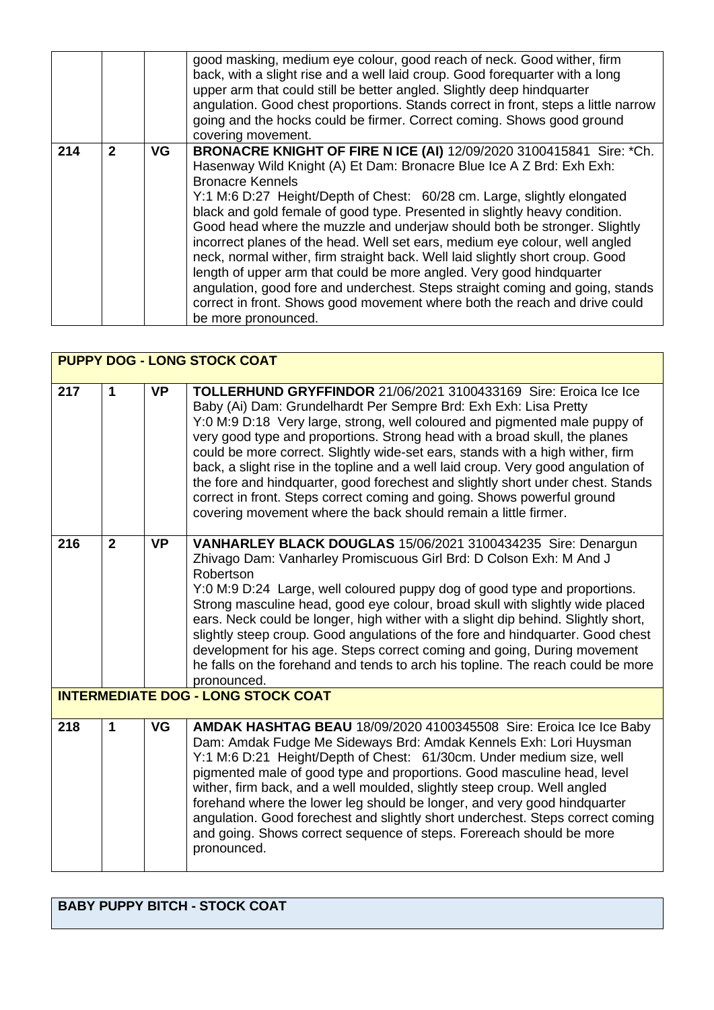|     |              |    | good masking, medium eye colour, good reach of neck. Good wither, firm<br>back, with a slight rise and a well laid croup. Good forequarter with a long<br>upper arm that could still be better angled. Slightly deep hindquarter<br>angulation. Good chest proportions. Stands correct in front, steps a little narrow<br>going and the hocks could be firmer. Correct coming. Shows good ground<br>covering movement.                                                                                                                                                                                                                                                                                                                                                                                                                     |
|-----|--------------|----|--------------------------------------------------------------------------------------------------------------------------------------------------------------------------------------------------------------------------------------------------------------------------------------------------------------------------------------------------------------------------------------------------------------------------------------------------------------------------------------------------------------------------------------------------------------------------------------------------------------------------------------------------------------------------------------------------------------------------------------------------------------------------------------------------------------------------------------------|
| 214 | $\mathbf{2}$ | VG | BRONACRE KNIGHT OF FIRE N ICE (AI) 12/09/2020 3100415841 Sire: *Ch.<br>Hasenway Wild Knight (A) Et Dam: Bronacre Blue Ice A Z Brd: Exh Exh:<br><b>Bronacre Kennels</b><br>Y:1 M:6 D:27 Height/Depth of Chest: 60/28 cm. Large, slightly elongated<br>black and gold female of good type. Presented in slightly heavy condition.<br>Good head where the muzzle and underjaw should both be stronger. Slightly<br>incorrect planes of the head. Well set ears, medium eye colour, well angled<br>neck, normal wither, firm straight back. Well laid slightly short croup. Good<br>length of upper arm that could be more angled. Very good hindquarter<br>angulation, good fore and underchest. Steps straight coming and going, stands<br>correct in front. Shows good movement where both the reach and drive could<br>be more pronounced. |

| <b>PUPPY DOG - LONG STOCK COAT</b> |                                           |           |                                                                                                                                                                                                                                                                                                                                                                                                                                                                                                                                                                                                                                                                                                          |  |  |
|------------------------------------|-------------------------------------------|-----------|----------------------------------------------------------------------------------------------------------------------------------------------------------------------------------------------------------------------------------------------------------------------------------------------------------------------------------------------------------------------------------------------------------------------------------------------------------------------------------------------------------------------------------------------------------------------------------------------------------------------------------------------------------------------------------------------------------|--|--|
| 217                                | 1                                         | <b>VP</b> | TOLLERHUND GRYFFINDOR 21/06/2021 3100433169 Sire: Eroica Ice Ice<br>Baby (Ai) Dam: Grundelhardt Per Sempre Brd: Exh Exh: Lisa Pretty<br>Y:0 M:9 D:18 Very large, strong, well coloured and pigmented male puppy of<br>very good type and proportions. Strong head with a broad skull, the planes<br>could be more correct. Slightly wide-set ears, stands with a high wither, firm<br>back, a slight rise in the topline and a well laid croup. Very good angulation of<br>the fore and hindquarter, good forechest and slightly short under chest. Stands<br>correct in front. Steps correct coming and going. Shows powerful ground<br>covering movement where the back should remain a little firmer. |  |  |
| 216                                | $\overline{2}$                            | <b>VP</b> | VANHARLEY BLACK DOUGLAS 15/06/2021 3100434235 Sire: Denargun<br>Zhivago Dam: Vanharley Promiscuous Girl Brd: D Colson Exh: M And J<br>Robertson<br>Y:0 M:9 D:24 Large, well coloured puppy dog of good type and proportions.<br>Strong masculine head, good eye colour, broad skull with slightly wide placed<br>ears. Neck could be longer, high wither with a slight dip behind. Slightly short,<br>slightly steep croup. Good angulations of the fore and hindquarter. Good chest<br>development for his age. Steps correct coming and going, During movement<br>he falls on the forehand and tends to arch his topline. The reach could be more<br>pronounced.                                       |  |  |
|                                    | <b>INTERMEDIATE DOG - LONG STOCK COAT</b> |           |                                                                                                                                                                                                                                                                                                                                                                                                                                                                                                                                                                                                                                                                                                          |  |  |
| 218                                | 1                                         | <b>VG</b> | AMDAK HASHTAG BEAU 18/09/2020 4100345508 Sire: Eroica Ice Ice Baby<br>Dam: Amdak Fudge Me Sideways Brd: Amdak Kennels Exh: Lori Huysman<br>Y:1 M:6 D:21 Height/Depth of Chest: 61/30cm. Under medium size, well<br>pigmented male of good type and proportions. Good masculine head, level<br>wither, firm back, and a well moulded, slightly steep croup. Well angled<br>forehand where the lower leg should be longer, and very good hindquarter<br>angulation. Good forechest and slightly short underchest. Steps correct coming<br>and going. Shows correct sequence of steps. Forereach should be more<br>pronounced.                                                                              |  |  |

## **BABY PUPPY BITCH - STOCK COAT**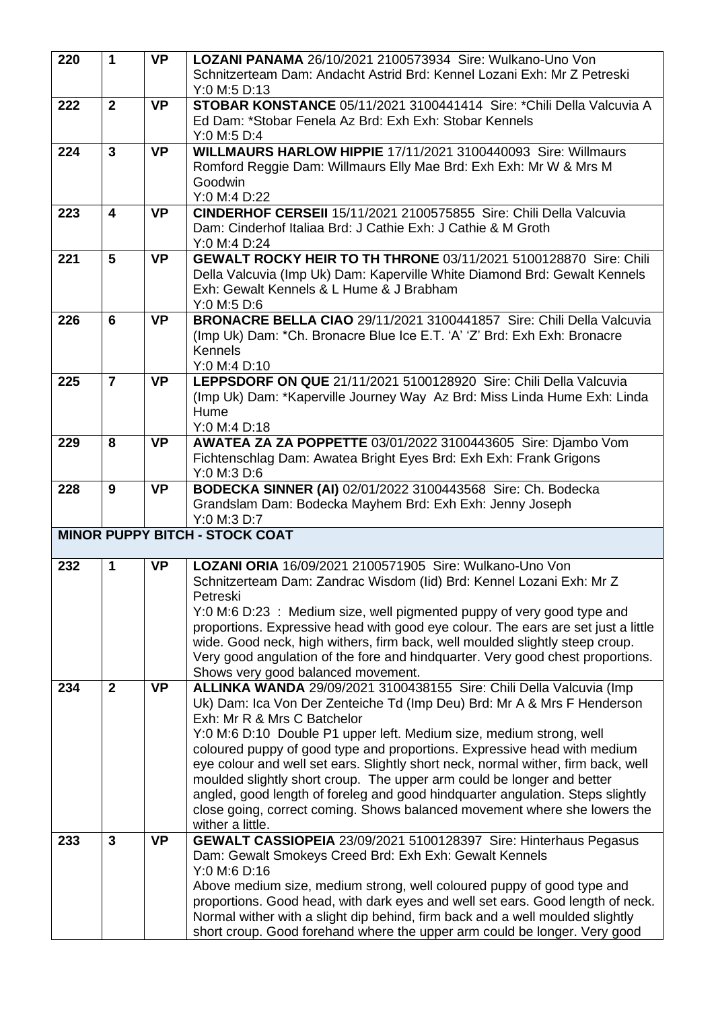| 220 | $\mathbf 1$             | <b>VP</b> | LOZANI PANAMA 26/10/2021 2100573934 Sire: Wulkano-Uno Von                                                                                                  |
|-----|-------------------------|-----------|------------------------------------------------------------------------------------------------------------------------------------------------------------|
|     |                         |           | Schnitzerteam Dam: Andacht Astrid Brd: Kennel Lozani Exh: Mr Z Petreski                                                                                    |
|     |                         |           | Y:0 M:5 D:13                                                                                                                                               |
| 222 | $\overline{2}$          | <b>VP</b> | STOBAR KONSTANCE 05/11/2021 3100441414 Sire: *Chili Della Valcuvia A                                                                                       |
|     |                         |           | Ed Dam: *Stobar Fenela Az Brd: Exh Exh: Stobar Kennels                                                                                                     |
|     |                         |           | Y:0 M:5 D:4                                                                                                                                                |
| 224 | $\overline{\mathbf{3}}$ | <b>VP</b> | WILLMAURS HARLOW HIPPIE 17/11/2021 3100440093 Sire: Willmaurs                                                                                              |
|     |                         |           | Romford Reggie Dam: Willmaurs Elly Mae Brd: Exh Exh: Mr W & Mrs M                                                                                          |
|     |                         |           | Goodwin                                                                                                                                                    |
|     |                         |           | Y:0 M:4 D:22                                                                                                                                               |
| 223 | $\overline{\mathbf{4}}$ | <b>VP</b> | CINDERHOF CERSEII 15/11/2021 2100575855 Sire: Chili Della Valcuvia                                                                                         |
|     |                         |           | Dam: Cinderhof Italiaa Brd: J Cathie Exh: J Cathie & M Groth                                                                                               |
|     |                         |           | Y:0 M:4 D:24                                                                                                                                               |
| 221 | 5                       | <b>VP</b> | GEWALT ROCKY HEIR TO TH THRONE 03/11/2021 5100128870 Sire: Chili                                                                                           |
|     |                         |           | Della Valcuvia (Imp Uk) Dam: Kaperville White Diamond Brd: Gewalt Kennels                                                                                  |
|     |                         |           | Exh: Gewalt Kennels & L Hume & J Brabham                                                                                                                   |
|     |                         |           | Y:0 M:5 D:6                                                                                                                                                |
| 226 | 6                       | <b>VP</b> | BRONACRE BELLA CIAO 29/11/2021 3100441857 Sire: Chili Della Valcuvia                                                                                       |
|     |                         |           | (Imp Uk) Dam: *Ch. Bronacre Blue Ice E.T. 'A' 'Z' Brd: Exh Exh: Bronacre                                                                                   |
|     |                         |           | Kennels                                                                                                                                                    |
|     |                         |           | Y:0 M:4 D:10                                                                                                                                               |
| 225 | $\overline{7}$          | <b>VP</b> | LEPPSDORF ON QUE 21/11/2021 5100128920 Sire: Chili Della Valcuvia                                                                                          |
|     |                         |           | (Imp Uk) Dam: *Kaperville Journey Way Az Brd: Miss Linda Hume Exh: Linda                                                                                   |
|     |                         |           | Hume                                                                                                                                                       |
|     |                         |           | Y:0 M:4 D:18                                                                                                                                               |
| 229 | 8                       | <b>VP</b> | AWATEA ZA ZA POPPETTE 03/01/2022 3100443605 Sire: Djambo Vom                                                                                               |
|     |                         |           | Fichtenschlag Dam: Awatea Bright Eyes Brd: Exh Exh: Frank Grigons                                                                                          |
|     |                         |           | Y:0 M:3 D:6                                                                                                                                                |
| 228 | 9                       | <b>VP</b> | BODECKA SINNER (AI) 02/01/2022 3100443568 Sire: Ch. Bodecka                                                                                                |
|     |                         |           |                                                                                                                                                            |
|     |                         |           | Grandslam Dam: Bodecka Mayhem Brd: Exh Exh: Jenny Joseph                                                                                                   |
|     |                         |           | Y:0 M:3 D:7                                                                                                                                                |
|     |                         |           | <b>MINOR PUPPY BITCH - STOCK COAT</b>                                                                                                                      |
|     |                         |           |                                                                                                                                                            |
| 232 | $\mathbf 1$             | <b>VP</b> | LOZANI ORIA 16/09/2021 2100571905 Sire: Wulkano-Uno Von                                                                                                    |
|     |                         |           | Schnitzerteam Dam: Zandrac Wisdom (lid) Brd: Kennel Lozani Exh: Mr Z                                                                                       |
|     |                         |           | Petreski                                                                                                                                                   |
|     |                         |           | Y:0 M:6 D:23 : Medium size, well pigmented puppy of very good type and                                                                                     |
|     |                         |           | proportions. Expressive head with good eye colour. The ears are set just a little                                                                          |
|     |                         |           | wide. Good neck, high withers, firm back, well moulded slightly steep croup.                                                                               |
|     |                         |           | Very good angulation of the fore and hindquarter. Very good chest proportions.                                                                             |
|     | $\mathbf{2}$            | <b>VP</b> | Shows very good balanced movement.                                                                                                                         |
| 234 |                         |           | ALLINKA WANDA 29/09/2021 3100438155 Sire: Chili Della Valcuvia (Imp                                                                                        |
|     |                         |           | Uk) Dam: Ica Von Der Zenteiche Td (Imp Deu) Brd: Mr A & Mrs F Henderson<br>Exh: Mr R & Mrs C Batchelor                                                     |
|     |                         |           |                                                                                                                                                            |
|     |                         |           | Y:0 M:6 D:10 Double P1 upper left. Medium size, medium strong, well<br>coloured puppy of good type and proportions. Expressive head with medium            |
|     |                         |           | eye colour and well set ears. Slightly short neck, normal wither, firm back, well                                                                          |
|     |                         |           | moulded slightly short croup. The upper arm could be longer and better                                                                                     |
|     |                         |           | angled, good length of foreleg and good hindquarter angulation. Steps slightly                                                                             |
|     |                         |           | close going, correct coming. Shows balanced movement where she lowers the                                                                                  |
|     |                         |           | wither a little.                                                                                                                                           |
| 233 | $\mathbf{3}$            | <b>VP</b> | GEWALT CASSIOPEIA 23/09/2021 5100128397 Sire: Hinterhaus Pegasus                                                                                           |
|     |                         |           | Dam: Gewalt Smokeys Creed Brd: Exh Exh: Gewalt Kennels                                                                                                     |
|     |                         |           | Y:0 M:6 D:16                                                                                                                                               |
|     |                         |           | Above medium size, medium strong, well coloured puppy of good type and                                                                                     |
|     |                         |           | proportions. Good head, with dark eyes and well set ears. Good length of neck.                                                                             |
|     |                         |           | Normal wither with a slight dip behind, firm back and a well moulded slightly<br>short croup. Good forehand where the upper arm could be longer. Very good |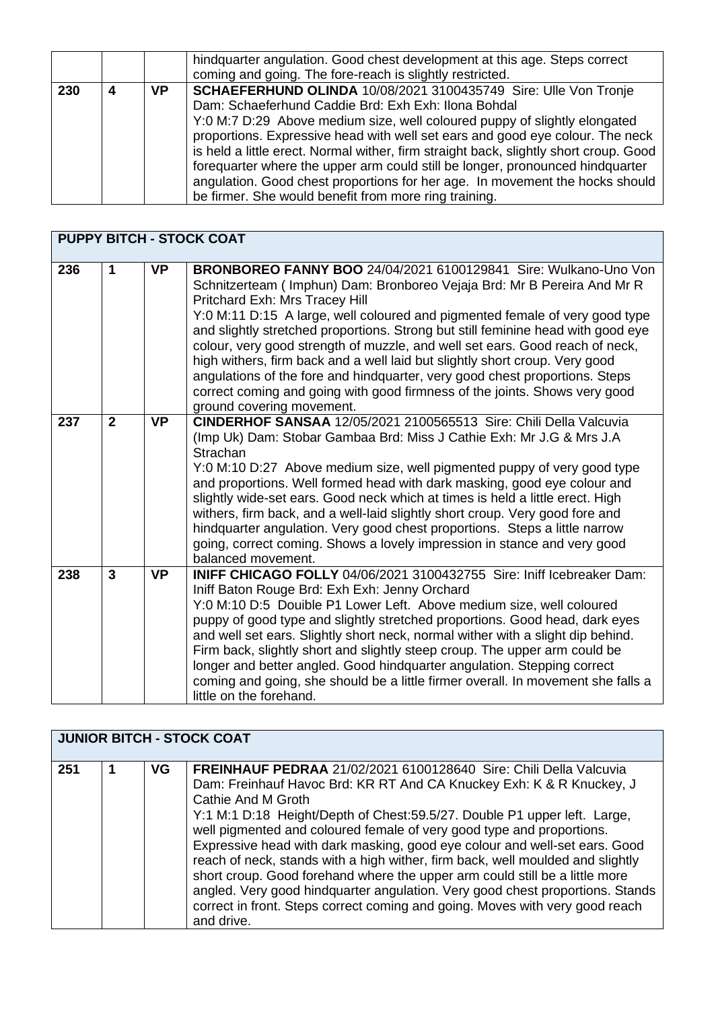|     |     | hindquarter angulation. Good chest development at this age. Steps correct<br>coming and going. The fore-reach is slightly restricted.                                                                                                                                                                                                                                                                                                                                                                                                                                                                   |
|-----|-----|---------------------------------------------------------------------------------------------------------------------------------------------------------------------------------------------------------------------------------------------------------------------------------------------------------------------------------------------------------------------------------------------------------------------------------------------------------------------------------------------------------------------------------------------------------------------------------------------------------|
| 230 | VP. | SCHAEFERHUND OLINDA 10/08/2021 3100435749 Sire: Ulle Von Tronje<br>Dam: Schaeferhund Caddie Brd: Exh Exh: Ilona Bohdal<br>Y:0 M:7 D:29 Above medium size, well coloured puppy of slightly elongated<br>proportions. Expressive head with well set ears and good eye colour. The neck<br>is held a little erect. Normal wither, firm straight back, slightly short croup. Good<br>forequarter where the upper arm could still be longer, pronounced hindquarter<br>angulation. Good chest proportions for her age. In movement the hocks should<br>be firmer. She would benefit from more ring training. |

|     | <b>PUPPY BITCH - STOCK COAT</b> |           |                                                                                                                                                                                                                                                                                                                                                                                                                                                                                                                                                                                                                                                                                                          |  |
|-----|---------------------------------|-----------|----------------------------------------------------------------------------------------------------------------------------------------------------------------------------------------------------------------------------------------------------------------------------------------------------------------------------------------------------------------------------------------------------------------------------------------------------------------------------------------------------------------------------------------------------------------------------------------------------------------------------------------------------------------------------------------------------------|--|
| 236 | $\blacktriangleleft$            | <b>VP</b> | BRONBOREO FANNY BOO 24/04/2021 6100129841 Sire: Wulkano-Uno Von<br>Schnitzerteam (Imphun) Dam: Bronboreo Vejaja Brd: Mr B Pereira And Mr R<br>Pritchard Exh: Mrs Tracey Hill<br>Y:0 M:11 D:15 A large, well coloured and pigmented female of very good type<br>and slightly stretched proportions. Strong but still feminine head with good eye<br>colour, very good strength of muzzle, and well set ears. Good reach of neck,<br>high withers, firm back and a well laid but slightly short croup. Very good<br>angulations of the fore and hindquarter, very good chest proportions. Steps<br>correct coming and going with good firmness of the joints. Shows very good<br>ground covering movement. |  |
| 237 | $\overline{2}$                  | <b>VP</b> | CINDERHOF SANSAA 12/05/2021 2100565513 Sire: Chili Della Valcuvia<br>(Imp Uk) Dam: Stobar Gambaa Brd: Miss J Cathie Exh: Mr J.G & Mrs J.A<br>Strachan<br>Y:0 M:10 D:27 Above medium size, well pigmented puppy of very good type<br>and proportions. Well formed head with dark masking, good eye colour and<br>slightly wide-set ears. Good neck which at times is held a little erect. High<br>withers, firm back, and a well-laid slightly short croup. Very good fore and<br>hindquarter angulation. Very good chest proportions. Steps a little narrow<br>going, correct coming. Shows a lovely impression in stance and very good<br>balanced movement.                                            |  |
| 238 | $\overline{3}$                  | <b>VP</b> | <b>INIFF CHICAGO FOLLY 04/06/2021 3100432755 Sire: Iniff Icebreaker Dam:</b><br>Iniff Baton Rouge Brd: Exh Exh: Jenny Orchard<br>Y:0 M:10 D:5 Douible P1 Lower Left. Above medium size, well coloured<br>puppy of good type and slightly stretched proportions. Good head, dark eyes<br>and well set ears. Slightly short neck, normal wither with a slight dip behind.<br>Firm back, slightly short and slightly steep croup. The upper arm could be<br>longer and better angled. Good hindquarter angulation. Stepping correct<br>coming and going, she should be a little firmer overall. In movement she falls a<br>little on the forehand.                                                          |  |

| <b>JUNIOR BITCH - STOCK COAT</b> |  |     |                                                                                                                                                                                                                                                                                                                                                                                                                                                                                                                                                                                                                                                                                                                                                    |  |
|----------------------------------|--|-----|----------------------------------------------------------------------------------------------------------------------------------------------------------------------------------------------------------------------------------------------------------------------------------------------------------------------------------------------------------------------------------------------------------------------------------------------------------------------------------------------------------------------------------------------------------------------------------------------------------------------------------------------------------------------------------------------------------------------------------------------------|--|
| 251                              |  | VG. | FREINHAUF PEDRAA 21/02/2021 6100128640 Sire: Chili Della Valcuvia<br>Dam: Freinhauf Havoc Brd: KR RT And CA Knuckey Exh: K & R Knuckey, J<br>Cathie And M Groth<br>Y:1 M:1 D:18 Height/Depth of Chest:59.5/27. Double P1 upper left. Large,<br>well pigmented and coloured female of very good type and proportions.<br>Expressive head with dark masking, good eye colour and well-set ears. Good<br>reach of neck, stands with a high wither, firm back, well moulded and slightly<br>short croup. Good forehand where the upper arm could still be a little more<br>angled. Very good hindquarter angulation. Very good chest proportions. Stands<br>correct in front. Steps correct coming and going. Moves with very good reach<br>and drive. |  |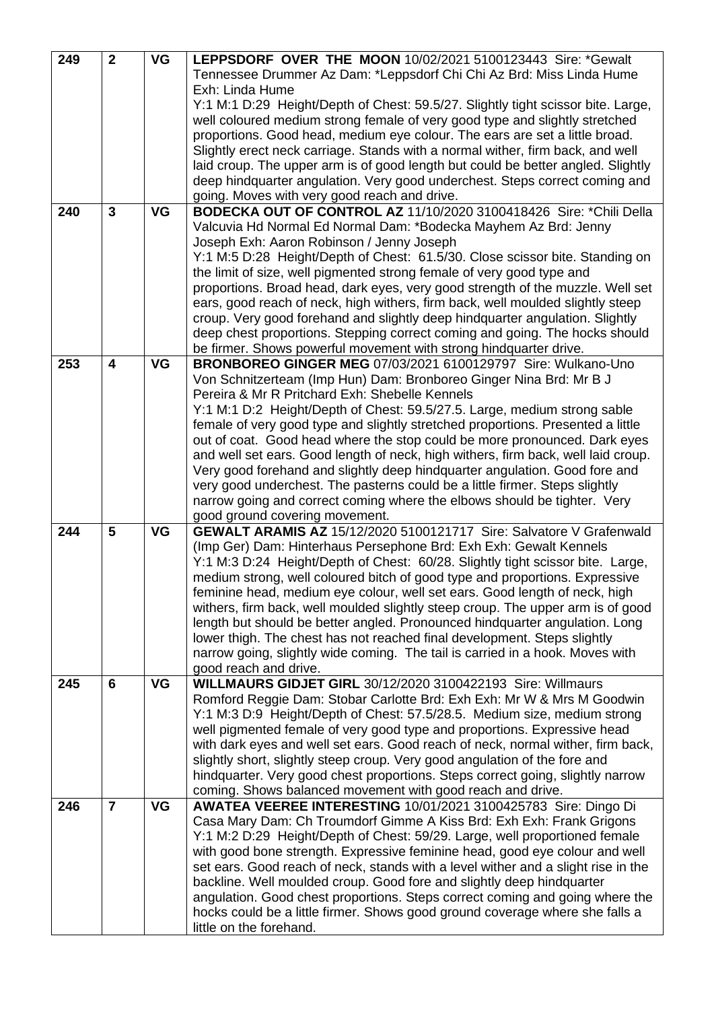| 249 | $\overline{2}$          | <b>VG</b> | LEPPSDORF OVER THE MOON 10/02/2021 5100123443 Sire: *Gewalt                                                                                             |
|-----|-------------------------|-----------|---------------------------------------------------------------------------------------------------------------------------------------------------------|
|     |                         |           | Tennessee Drummer Az Dam: *Leppsdorf Chi Chi Az Brd: Miss Linda Hume                                                                                    |
|     |                         |           | Exh: Linda Hume                                                                                                                                         |
|     |                         |           | Y:1 M:1 D:29 Height/Depth of Chest: 59.5/27. Slightly tight scissor bite. Large,                                                                        |
|     |                         |           | well coloured medium strong female of very good type and slightly stretched                                                                             |
|     |                         |           | proportions. Good head, medium eye colour. The ears are set a little broad.                                                                             |
|     |                         |           | Slightly erect neck carriage. Stands with a normal wither, firm back, and well                                                                          |
|     |                         |           | laid croup. The upper arm is of good length but could be better angled. Slightly                                                                        |
|     |                         |           | deep hindquarter angulation. Very good underchest. Steps correct coming and                                                                             |
|     |                         |           | going. Moves with very good reach and drive.                                                                                                            |
| 240 | $\overline{3}$          | <b>VG</b> | BODECKA OUT OF CONTROL AZ 11/10/2020 3100418426 Sire: *Chili Della                                                                                      |
|     |                         |           | Valcuvia Hd Normal Ed Normal Dam: *Bodecka Mayhem Az Brd: Jenny                                                                                         |
|     |                         |           | Joseph Exh: Aaron Robinson / Jenny Joseph                                                                                                               |
|     |                         |           | Y:1 M:5 D:28 Height/Depth of Chest: 61.5/30. Close scissor bite. Standing on                                                                            |
|     |                         |           | the limit of size, well pigmented strong female of very good type and                                                                                   |
|     |                         |           | proportions. Broad head, dark eyes, very good strength of the muzzle. Well set                                                                          |
|     |                         |           | ears, good reach of neck, high withers, firm back, well moulded slightly steep                                                                          |
|     |                         |           | croup. Very good forehand and slightly deep hindquarter angulation. Slightly                                                                            |
|     |                         |           | deep chest proportions. Stepping correct coming and going. The hocks should                                                                             |
|     |                         |           | be firmer. Shows powerful movement with strong hindquarter drive.                                                                                       |
| 253 | $\overline{\mathbf{4}}$ | <b>VG</b> | BRONBOREO GINGER MEG 07/03/2021 6100129797 Sire: Wulkano-Uno                                                                                            |
|     |                         |           | Von Schnitzerteam (Imp Hun) Dam: Bronboreo Ginger Nina Brd: Mr B J                                                                                      |
|     |                         |           | Pereira & Mr R Pritchard Exh: Shebelle Kennels                                                                                                          |
|     |                         |           | Y:1 M:1 D:2 Height/Depth of Chest: 59.5/27.5. Large, medium strong sable                                                                                |
|     |                         |           | female of very good type and slightly stretched proportions. Presented a little                                                                         |
|     |                         |           | out of coat. Good head where the stop could be more pronounced. Dark eyes                                                                               |
|     |                         |           | and well set ears. Good length of neck, high withers, firm back, well laid croup.                                                                       |
|     |                         |           | Very good forehand and slightly deep hindquarter angulation. Good fore and                                                                              |
|     |                         |           | very good underchest. The pasterns could be a little firmer. Steps slightly                                                                             |
|     |                         |           | narrow going and correct coming where the elbows should be tighter. Very                                                                                |
|     |                         |           | good ground covering movement.                                                                                                                          |
| 244 | 5                       | <b>VG</b> | <b>GEWALT ARAMIS AZ 15/12/2020 5100121717 Sire: Salvatore V Grafenwald</b>                                                                              |
|     |                         |           | (Imp Ger) Dam: Hinterhaus Persephone Brd: Exh Exh: Gewalt Kennels                                                                                       |
|     |                         |           | Y:1 M:3 D:24 Height/Depth of Chest: 60/28. Slightly tight scissor bite. Large,                                                                          |
|     |                         |           | medium strong, well coloured bitch of good type and proportions. Expressive                                                                             |
|     |                         |           | feminine head, medium eye colour, well set ears. Good length of neck, high                                                                              |
|     |                         |           | withers, firm back, well moulded slightly steep croup. The upper arm is of good                                                                         |
|     |                         |           | length but should be better angled. Pronounced hindquarter angulation. Long<br>lower thigh. The chest has not reached final development. Steps slightly |
|     |                         |           | narrow going, slightly wide coming. The tail is carried in a hook. Moves with                                                                           |
|     |                         |           | good reach and drive.                                                                                                                                   |
| 245 | 6                       | VG        | <b>WILLMAURS GIDJET GIRL 30/12/2020 3100422193 Sire: Willmaurs</b>                                                                                      |
|     |                         |           | Romford Reggie Dam: Stobar Carlotte Brd: Exh Exh: Mr W & Mrs M Goodwin                                                                                  |
|     |                         |           | Y:1 M:3 D:9 Height/Depth of Chest: 57.5/28.5. Medium size, medium strong                                                                                |
|     |                         |           | well pigmented female of very good type and proportions. Expressive head                                                                                |
|     |                         |           | with dark eyes and well set ears. Good reach of neck, normal wither, firm back,                                                                         |
|     |                         |           | slightly short, slightly steep croup. Very good angulation of the fore and                                                                              |
|     |                         |           | hindquarter. Very good chest proportions. Steps correct going, slightly narrow                                                                          |
|     |                         |           | coming. Shows balanced movement with good reach and drive.                                                                                              |
| 246 | $\overline{7}$          | VG        | AWATEA VEEREE INTERESTING 10/01/2021 3100425783 Sire: Dingo Di                                                                                          |
|     |                         |           | Casa Mary Dam: Ch Troumdorf Gimme A Kiss Brd: Exh Exh: Frank Grigons                                                                                    |
|     |                         |           | Y:1 M:2 D:29 Height/Depth of Chest: 59/29. Large, well proportioned female                                                                              |
|     |                         |           | with good bone strength. Expressive feminine head, good eye colour and well                                                                             |
|     |                         |           | set ears. Good reach of neck, stands with a level wither and a slight rise in the                                                                       |
|     |                         |           | backline. Well moulded croup. Good fore and slightly deep hindquarter                                                                                   |
|     |                         |           | angulation. Good chest proportions. Steps correct coming and going where the                                                                            |
|     |                         |           | hocks could be a little firmer. Shows good ground coverage where she falls a                                                                            |
|     |                         |           | little on the forehand.                                                                                                                                 |
|     |                         |           |                                                                                                                                                         |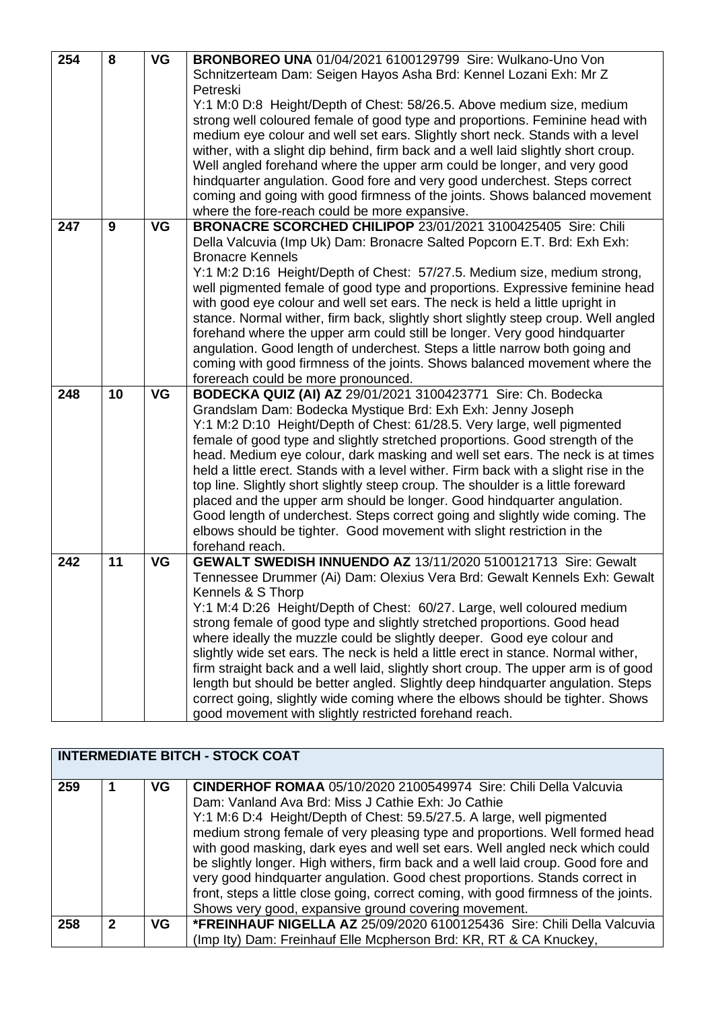| 254<br>8 |    | <b>VG</b> | <b>BRONBOREO UNA 01/04/2021 6100129799 Sire: Wulkano-Uno Von</b>                     |
|----------|----|-----------|--------------------------------------------------------------------------------------|
|          |    |           | Schnitzerteam Dam: Seigen Hayos Asha Brd: Kennel Lozani Exh: Mr Z                    |
|          |    |           | Petreski                                                                             |
|          |    |           | Y:1 M:0 D:8 Height/Depth of Chest: 58/26.5. Above medium size, medium                |
|          |    |           | strong well coloured female of good type and proportions. Feminine head with         |
|          |    |           | medium eye colour and well set ears. Slightly short neck. Stands with a level        |
|          |    |           | wither, with a slight dip behind, firm back and a well laid slightly short croup.    |
|          |    |           | Well angled forehand where the upper arm could be longer, and very good              |
|          |    |           | hindquarter angulation. Good fore and very good underchest. Steps correct            |
|          |    |           | coming and going with good firmness of the joints. Shows balanced movement           |
|          |    |           | where the fore-reach could be more expansive.                                        |
| 9<br>247 |    | VG        | BRONACRE SCORCHED CHILIPOP 23/01/2021 3100425405 Sire: Chili                         |
|          |    |           |                                                                                      |
|          |    |           | Della Valcuvia (Imp Uk) Dam: Bronacre Salted Popcorn E.T. Brd: Exh Exh:              |
|          |    |           | <b>Bronacre Kennels</b>                                                              |
|          |    |           | Y:1 M:2 D:16 Height/Depth of Chest: 57/27.5. Medium size, medium strong,             |
|          |    |           | well pigmented female of good type and proportions. Expressive feminine head         |
|          |    |           | with good eye colour and well set ears. The neck is held a little upright in         |
|          |    |           | stance. Normal wither, firm back, slightly short slightly steep croup. Well angled   |
|          |    |           | forehand where the upper arm could still be longer. Very good hindquarter            |
|          |    |           | angulation. Good length of underchest. Steps a little narrow both going and          |
|          |    |           | coming with good firmness of the joints. Shows balanced movement where the           |
|          |    |           | forereach could be more pronounced.                                                  |
| 248      | 10 | <b>VG</b> | BODECKA QUIZ (AI) AZ 29/01/2021 3100423771 Sire: Ch. Bodecka                         |
|          |    |           | Grandslam Dam: Bodecka Mystique Brd: Exh Exh: Jenny Joseph                           |
|          |    |           | Y:1 M:2 D:10 Height/Depth of Chest: 61/28.5. Very large, well pigmented              |
|          |    |           | female of good type and slightly stretched proportions. Good strength of the         |
|          |    |           | head. Medium eye colour, dark masking and well set ears. The neck is at times        |
|          |    |           | held a little erect. Stands with a level wither. Firm back with a slight rise in the |
|          |    |           | top line. Slightly short slightly steep croup. The shoulder is a little foreward     |
|          |    |           | placed and the upper arm should be longer. Good hindquarter angulation.              |
|          |    |           | Good length of underchest. Steps correct going and slightly wide coming. The         |
|          |    |           | elbows should be tighter. Good movement with slight restriction in the               |
|          |    |           | forehand reach.                                                                      |
| 242      | 11 | VG        | GEWALT SWEDISH INNUENDO AZ 13/11/2020 5100121713 Sire: Gewalt                        |
|          |    |           | Tennessee Drummer (Ai) Dam: Olexius Vera Brd: Gewalt Kennels Exh: Gewalt             |
|          |    |           | Kennels & S Thorp                                                                    |
|          |    |           | Y:1 M:4 D:26 Height/Depth of Chest: 60/27. Large, well coloured medium               |
|          |    |           | strong female of good type and slightly stretched proportions. Good head             |
|          |    |           | where ideally the muzzle could be slightly deeper. Good eye colour and               |
|          |    |           | slightly wide set ears. The neck is held a little erect in stance. Normal wither,    |
|          |    |           | firm straight back and a well laid, slightly short croup. The upper arm is of good   |
|          |    |           | length but should be better angled. Slightly deep hindquarter angulation. Steps      |
|          |    |           | correct going, slightly wide coming where the elbows should be tighter. Shows        |
|          |    |           | good movement with slightly restricted forehand reach.                               |

| <b>INTERMEDIATE BITCH - STOCK COAT</b> |             |     |                                                                                                                                                                                                                                                                                                                                                                                                                                                                                                                                                                                                                                                                                           |
|----------------------------------------|-------------|-----|-------------------------------------------------------------------------------------------------------------------------------------------------------------------------------------------------------------------------------------------------------------------------------------------------------------------------------------------------------------------------------------------------------------------------------------------------------------------------------------------------------------------------------------------------------------------------------------------------------------------------------------------------------------------------------------------|
| 259                                    |             | VG. | <b>CINDERHOF ROMAA 05/10/2020 2100549974 Sire: Chili Della Valcuvia</b><br>Dam: Vanland Ava Brd: Miss J Cathie Exh: Jo Cathie<br>Y:1 M:6 D:4 Height/Depth of Chest: 59.5/27.5. A large, well pigmented<br>medium strong female of very pleasing type and proportions. Well formed head<br>with good masking, dark eyes and well set ears. Well angled neck which could<br>be slightly longer. High withers, firm back and a well laid croup. Good fore and<br>very good hindquarter angulation. Good chest proportions. Stands correct in<br>front, steps a little close going, correct coming, with good firmness of the joints.<br>Shows very good, expansive ground covering movement. |
| 258                                    | $\mathbf 2$ | VG. | *FREINHAUF NIGELLA AZ 25/09/2020 6100125436 Sire: Chili Della Valcuvia<br>(Imp Ity) Dam: Freinhauf Elle Mcpherson Brd: KR, RT & CA Knuckey,                                                                                                                                                                                                                                                                                                                                                                                                                                                                                                                                               |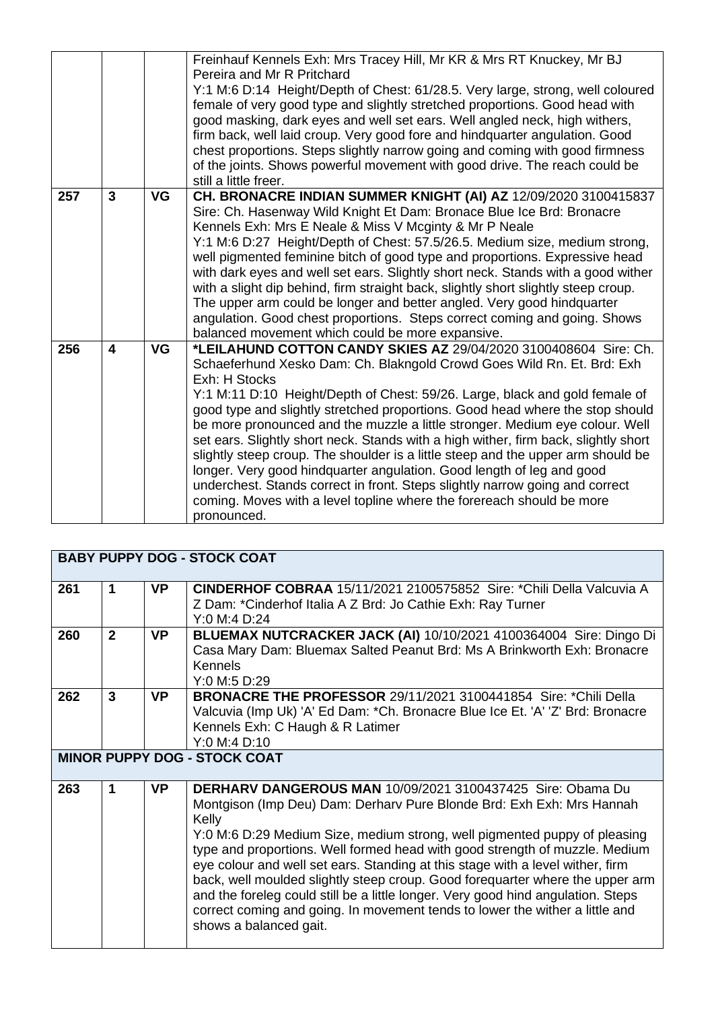|     |                |           | Freinhauf Kennels Exh: Mrs Tracey Hill, Mr KR & Mrs RT Knuckey, Mr BJ<br>Pereira and Mr R Pritchard<br>Y:1 M:6 D:14 Height/Depth of Chest: 61/28.5. Very large, strong, well coloured<br>female of very good type and slightly stretched proportions. Good head with<br>good masking, dark eyes and well set ears. Well angled neck, high withers,<br>firm back, well laid croup. Very good fore and hindquarter angulation. Good<br>chest proportions. Steps slightly narrow going and coming with good firmness<br>of the joints. Shows powerful movement with good drive. The reach could be<br>still a little freer.                                                                                                                                                                                                                |
|-----|----------------|-----------|-----------------------------------------------------------------------------------------------------------------------------------------------------------------------------------------------------------------------------------------------------------------------------------------------------------------------------------------------------------------------------------------------------------------------------------------------------------------------------------------------------------------------------------------------------------------------------------------------------------------------------------------------------------------------------------------------------------------------------------------------------------------------------------------------------------------------------------------|
| 257 | $\overline{3}$ | <b>VG</b> | CH. BRONACRE INDIAN SUMMER KNIGHT (AI) AZ 12/09/2020 3100415837<br>Sire: Ch. Hasenway Wild Knight Et Dam: Bronace Blue Ice Brd: Bronacre<br>Kennels Exh: Mrs E Neale & Miss V Mcginty & Mr P Neale<br>Y:1 M:6 D:27 Height/Depth of Chest: 57.5/26.5. Medium size, medium strong,<br>well pigmented feminine bitch of good type and proportions. Expressive head<br>with dark eyes and well set ears. Slightly short neck. Stands with a good wither<br>with a slight dip behind, firm straight back, slightly short slightly steep croup.<br>The upper arm could be longer and better angled. Very good hindquarter<br>angulation. Good chest proportions. Steps correct coming and going. Shows<br>balanced movement which could be more expansive.                                                                                    |
| 256 | 4              | <b>VG</b> | *LEILAHUND COTTON CANDY SKIES AZ 29/04/2020 3100408604 Sire: Ch.<br>Schaeferhund Xesko Dam: Ch. Blakngold Crowd Goes Wild Rn. Et. Brd: Exh<br>Exh: H Stocks<br>Y:1 M:11 D:10 Height/Depth of Chest: 59/26. Large, black and gold female of<br>good type and slightly stretched proportions. Good head where the stop should<br>be more pronounced and the muzzle a little stronger. Medium eye colour. Well<br>set ears. Slightly short neck. Stands with a high wither, firm back, slightly short<br>slightly steep croup. The shoulder is a little steep and the upper arm should be<br>longer. Very good hindquarter angulation. Good length of leg and good<br>underchest. Stands correct in front. Steps slightly narrow going and correct<br>coming. Moves with a level topline where the forereach should be more<br>pronounced. |

|     |                                     |           | <b>BABY PUPPY DOG - STOCK COAT</b>                                                                                                                                                                                                                                                                                                                                                                                                                                                                                                                                                                                                                                               |  |
|-----|-------------------------------------|-----------|----------------------------------------------------------------------------------------------------------------------------------------------------------------------------------------------------------------------------------------------------------------------------------------------------------------------------------------------------------------------------------------------------------------------------------------------------------------------------------------------------------------------------------------------------------------------------------------------------------------------------------------------------------------------------------|--|
| 261 | 1                                   | <b>VP</b> | CINDERHOF COBRAA 15/11/2021 2100575852 Sire: *Chili Della Valcuvia A<br>Z Dam: *Cinderhof Italia A Z Brd: Jo Cathie Exh: Ray Turner<br>Y:0 M:4 D:24                                                                                                                                                                                                                                                                                                                                                                                                                                                                                                                              |  |
| 260 | $\overline{2}$                      | <b>VP</b> | BLUEMAX NUTCRACKER JACK (AI) 10/10/2021 4100364004 Sire: Dingo Di<br>Casa Mary Dam: Bluemax Salted Peanut Brd: Ms A Brinkworth Exh: Bronacre<br><b>Kennels</b><br>Y:0 M:5 D:29                                                                                                                                                                                                                                                                                                                                                                                                                                                                                                   |  |
| 262 | $\overline{3}$                      | <b>VP</b> | <b>BRONACRE THE PROFESSOR 29/11/2021 3100441854 Sire: *Chili Della</b><br>Valcuvia (Imp Uk) 'A' Ed Dam: * Ch. Bronacre Blue Ice Et. 'A' 'Z' Brd: Bronacre<br>Kennels Exh: C Haugh & R Latimer<br>Y:0 M:4 D:10                                                                                                                                                                                                                                                                                                                                                                                                                                                                    |  |
|     | <b>MINOR PUPPY DOG - STOCK COAT</b> |           |                                                                                                                                                                                                                                                                                                                                                                                                                                                                                                                                                                                                                                                                                  |  |
| 263 | 1                                   | <b>VP</b> | <b>DERHARV DANGEROUS MAN 10/09/2021 3100437425 Sire: Obama Du</b><br>Montgison (Imp Deu) Dam: Derhary Pure Blonde Brd: Exh Exh: Mrs Hannah<br>Kelly<br>Y:0 M:6 D:29 Medium Size, medium strong, well pigmented puppy of pleasing<br>type and proportions. Well formed head with good strength of muzzle. Medium<br>eye colour and well set ears. Standing at this stage with a level wither, firm<br>back, well moulded slightly steep croup. Good forequarter where the upper arm<br>and the foreleg could still be a little longer. Very good hind angulation. Steps<br>correct coming and going. In movement tends to lower the wither a little and<br>shows a balanced gait. |  |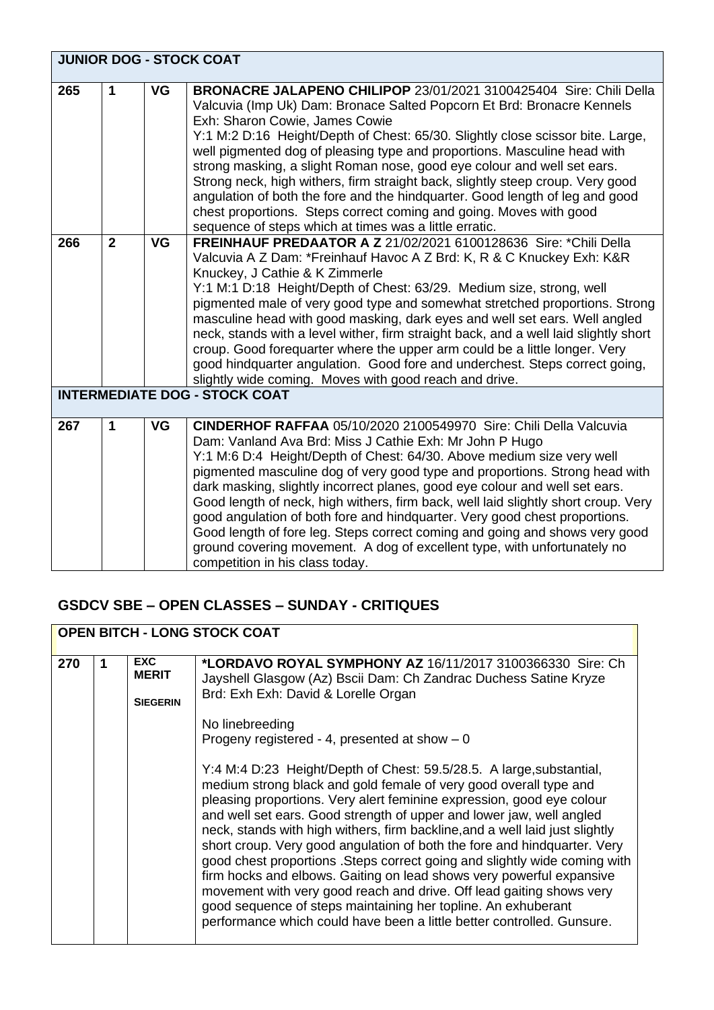|     | <b>JUNIOR DOG - STOCK COAT</b> |           |                                                                                                                                                                                                                                                                                                                                                                                                                                                                                                                                                                                                                                                                                                                                                                                |  |  |
|-----|--------------------------------|-----------|--------------------------------------------------------------------------------------------------------------------------------------------------------------------------------------------------------------------------------------------------------------------------------------------------------------------------------------------------------------------------------------------------------------------------------------------------------------------------------------------------------------------------------------------------------------------------------------------------------------------------------------------------------------------------------------------------------------------------------------------------------------------------------|--|--|
| 265 | 1                              | <b>VG</b> | BRONACRE JALAPENO CHILIPOP 23/01/2021 3100425404 Sire: Chili Della<br>Valcuvia (Imp Uk) Dam: Bronace Salted Popcorn Et Brd: Bronacre Kennels<br>Exh: Sharon Cowie, James Cowie<br>Y:1 M:2 D:16 Height/Depth of Chest: 65/30. Slightly close scissor bite. Large,<br>well pigmented dog of pleasing type and proportions. Masculine head with<br>strong masking, a slight Roman nose, good eye colour and well set ears.<br>Strong neck, high withers, firm straight back, slightly steep croup. Very good<br>angulation of both the fore and the hindquarter. Good length of leg and good<br>chest proportions. Steps correct coming and going. Moves with good<br>sequence of steps which at times was a little erratic.                                                      |  |  |
| 266 | $\overline{2}$                 | <b>VG</b> | <b>FREINHAUF PREDAATOR A Z 21/02/2021 6100128636 Sire: *Chili Della</b><br>Valcuvia A Z Dam: *Freinhauf Havoc A Z Brd: K, R & C Knuckey Exh: K&R<br>Knuckey, J Cathie & K Zimmerle<br>Y:1 M:1 D:18 Height/Depth of Chest: 63/29. Medium size, strong, well<br>pigmented male of very good type and somewhat stretched proportions. Strong<br>masculine head with good masking, dark eyes and well set ears. Well angled<br>neck, stands with a level wither, firm straight back, and a well laid slightly short<br>croup. Good forequarter where the upper arm could be a little longer. Very<br>good hindquarter angulation. Good fore and underchest. Steps correct going,<br>slightly wide coming. Moves with good reach and drive.<br><b>INTERMEDIATE DOG - STOCK COAT</b> |  |  |
|     |                                |           |                                                                                                                                                                                                                                                                                                                                                                                                                                                                                                                                                                                                                                                                                                                                                                                |  |  |
| 267 | 1                              | <b>VG</b> | <b>CINDERHOF RAFFAA 05/10/2020 2100549970 Sire: Chili Della Valcuvia</b><br>Dam: Vanland Ava Brd: Miss J Cathie Exh: Mr John P Hugo<br>Y:1 M:6 D:4 Height/Depth of Chest: 64/30. Above medium size very well<br>pigmented masculine dog of very good type and proportions. Strong head with<br>dark masking, slightly incorrect planes, good eye colour and well set ears.<br>Good length of neck, high withers, firm back, well laid slightly short croup. Very<br>good angulation of both fore and hindquarter. Very good chest proportions.<br>Good length of fore leg. Steps correct coming and going and shows very good<br>ground covering movement. A dog of excellent type, with unfortunately no<br>competition in his class today.                                   |  |  |

#### **GSDCV SBE – OPEN CLASSES – SUNDAY - CRITIQUES**

|     | <b>OPEN BITCH - LONG STOCK COAT</b> |                                               |                                                                                                                                                                                                                                                                                                                                                                                                                                                                                                                                                                                                                                                                                                                                                                                                                                                                                                                                                                                                                                                                             |  |
|-----|-------------------------------------|-----------------------------------------------|-----------------------------------------------------------------------------------------------------------------------------------------------------------------------------------------------------------------------------------------------------------------------------------------------------------------------------------------------------------------------------------------------------------------------------------------------------------------------------------------------------------------------------------------------------------------------------------------------------------------------------------------------------------------------------------------------------------------------------------------------------------------------------------------------------------------------------------------------------------------------------------------------------------------------------------------------------------------------------------------------------------------------------------------------------------------------------|--|
| 270 |                                     | <b>EXC</b><br><b>MERIT</b><br><b>SIEGERIN</b> | *LORDAVO ROYAL SYMPHONY AZ 16/11/2017 3100366330 Sire: Ch<br>Jayshell Glasgow (Az) Bscii Dam: Ch Zandrac Duchess Satine Kryze<br>Brd: Exh Exh: David & Lorelle Organ<br>No linebreeding<br>Progeny registered - 4, presented at show $-0$<br>Y:4 M:4 D:23 Height/Depth of Chest: 59.5/28.5. A large, substantial,<br>medium strong black and gold female of very good overall type and<br>pleasing proportions. Very alert feminine expression, good eye colour<br>and well set ears. Good strength of upper and lower jaw, well angled<br>neck, stands with high withers, firm backline, and a well laid just slightly<br>short croup. Very good angulation of both the fore and hindquarter. Very<br>good chest proportions. Steps correct going and slightly wide coming with<br>firm hocks and elbows. Gaiting on lead shows very powerful expansive<br>movement with very good reach and drive. Off lead gaiting shows very<br>good sequence of steps maintaining her topline. An exhuberant<br>performance which could have been a little better controlled. Gunsure. |  |
|     |                                     |                                               |                                                                                                                                                                                                                                                                                                                                                                                                                                                                                                                                                                                                                                                                                                                                                                                                                                                                                                                                                                                                                                                                             |  |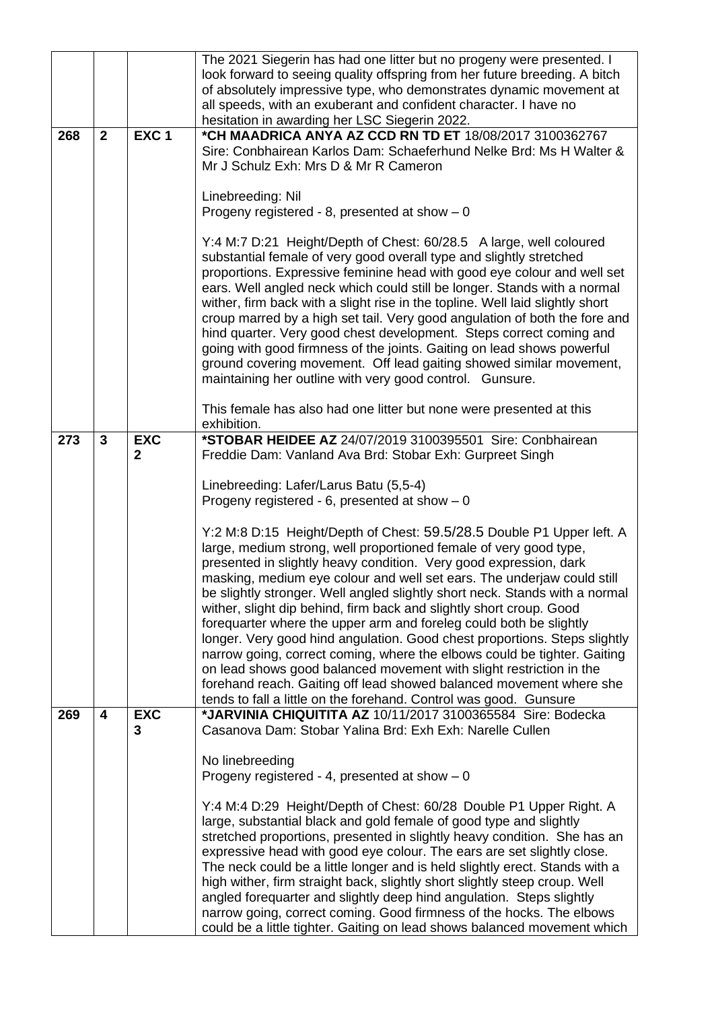|     |                         |                            | The 2021 Siegerin has had one litter but no progeny were presented. I<br>look forward to seeing quality offspring from her future breeding. A bitch<br>of absolutely impressive type, who demonstrates dynamic movement at<br>all speeds, with an exuberant and confident character. I have no<br>hesitation in awarding her LSC Siegerin 2022.                                                                                                                                                                                                                                                                                                                                                                                                                                                                                                                                                                                                                  |
|-----|-------------------------|----------------------------|------------------------------------------------------------------------------------------------------------------------------------------------------------------------------------------------------------------------------------------------------------------------------------------------------------------------------------------------------------------------------------------------------------------------------------------------------------------------------------------------------------------------------------------------------------------------------------------------------------------------------------------------------------------------------------------------------------------------------------------------------------------------------------------------------------------------------------------------------------------------------------------------------------------------------------------------------------------|
| 268 | $\overline{2}$          | EXC <sub>1</sub>           | *CH MAADRICA ANYA AZ CCD RN TD ET 18/08/2017 3100362767<br>Sire: Conbhairean Karlos Dam: Schaeferhund Nelke Brd: Ms H Walter &<br>Mr J Schulz Exh: Mrs D & Mr R Cameron                                                                                                                                                                                                                                                                                                                                                                                                                                                                                                                                                                                                                                                                                                                                                                                          |
|     |                         |                            | Linebreeding: Nil<br>Progeny registered - 8, presented at show $-0$                                                                                                                                                                                                                                                                                                                                                                                                                                                                                                                                                                                                                                                                                                                                                                                                                                                                                              |
|     |                         |                            | Y:4 M:7 D:21 Height/Depth of Chest: 60/28.5 A large, well coloured<br>substantial female of very good overall type and slightly stretched<br>proportions. Expressive feminine head with good eye colour and well set<br>ears. Well angled neck which could still be longer. Stands with a normal<br>wither, firm back with a slight rise in the topline. Well laid slightly short<br>croup marred by a high set tail. Very good angulation of both the fore and<br>hind quarter. Very good chest development. Steps correct coming and<br>going with good firmness of the joints. Gaiting on lead shows powerful<br>ground covering movement. Off lead gaiting showed similar movement,<br>maintaining her outline with very good control. Gunsure.                                                                                                                                                                                                              |
|     |                         |                            | This female has also had one litter but none were presented at this<br>exhibition.                                                                                                                                                                                                                                                                                                                                                                                                                                                                                                                                                                                                                                                                                                                                                                                                                                                                               |
| 273 | $\mathbf{3}$            | <b>EXC</b><br>$\mathbf{2}$ | *STOBAR HEIDEE AZ 24/07/2019 3100395501 Sire: Conbhairean<br>Freddie Dam: Vanland Ava Brd: Stobar Exh: Gurpreet Singh                                                                                                                                                                                                                                                                                                                                                                                                                                                                                                                                                                                                                                                                                                                                                                                                                                            |
|     |                         |                            | Linebreeding: Lafer/Larus Batu (5,5-4)<br>Progeny registered - 6, presented at show $-0$                                                                                                                                                                                                                                                                                                                                                                                                                                                                                                                                                                                                                                                                                                                                                                                                                                                                         |
| 269 | $\overline{\mathbf{4}}$ | <b>EXC</b>                 | Y:2 M:8 D:15 Height/Depth of Chest: 59.5/28.5 Double P1 Upper left. A<br>large, medium strong, well proportioned female of very good type,<br>presented in slightly heavy condition. Very good expression, dark<br>masking, medium eye colour and well set ears. The underjaw could still<br>be slightly stronger. Well angled slightly short neck. Stands with a normal<br>wither, slight dip behind, firm back and slightly short croup. Good<br>forequarter where the upper arm and foreleg could both be slightly<br>longer. Very good hind angulation. Good chest proportions. Steps slightly<br>narrow going, correct coming, where the elbows could be tighter. Gaiting<br>on lead shows good balanced movement with slight restriction in the<br>forehand reach. Gaiting off lead showed balanced movement where she<br>tends to fall a little on the forehand. Control was good. Gunsure<br>*JARVINIA CHIQUITITA AZ 10/11/2017 3100365584 Sire: Bodecka |
|     |                         | 3                          | Casanova Dam: Stobar Yalina Brd: Exh Exh: Narelle Cullen                                                                                                                                                                                                                                                                                                                                                                                                                                                                                                                                                                                                                                                                                                                                                                                                                                                                                                         |
|     |                         |                            | No linebreeding<br>Progeny registered - 4, presented at show $-0$                                                                                                                                                                                                                                                                                                                                                                                                                                                                                                                                                                                                                                                                                                                                                                                                                                                                                                |
|     |                         |                            | Y:4 M:4 D:29 Height/Depth of Chest: 60/28 Double P1 Upper Right. A<br>large, substantial black and gold female of good type and slightly<br>stretched proportions, presented in slightly heavy condition. She has an<br>expressive head with good eye colour. The ears are set slightly close.<br>The neck could be a little longer and is held slightly erect. Stands with a<br>high wither, firm straight back, slightly short slightly steep croup. Well<br>angled forequarter and slightly deep hind angulation. Steps slightly<br>narrow going, correct coming. Good firmness of the hocks. The elbows<br>could be a little tighter. Gaiting on lead shows balanced movement which                                                                                                                                                                                                                                                                          |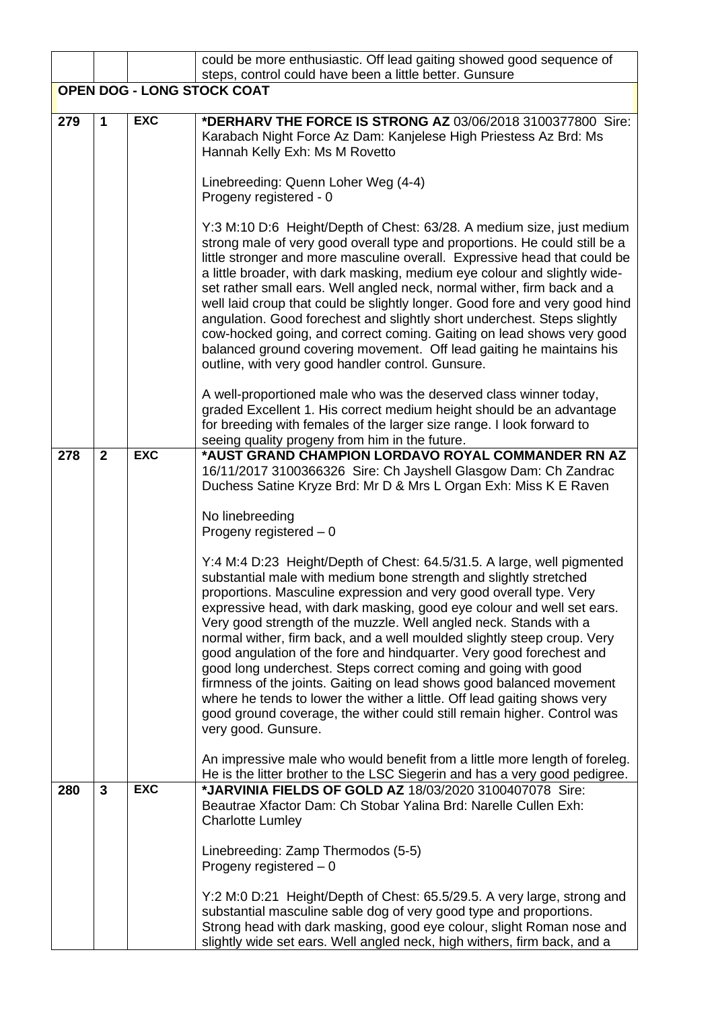|     |              |            | could be more enthusiastic. Off lead gaiting showed good sequence of<br>steps, control could have been a little better. Gunsure                                                                                                                                                                                                                                                                                                                                                                                                                                                                                                                                                                                                                                                                                                             |
|-----|--------------|------------|---------------------------------------------------------------------------------------------------------------------------------------------------------------------------------------------------------------------------------------------------------------------------------------------------------------------------------------------------------------------------------------------------------------------------------------------------------------------------------------------------------------------------------------------------------------------------------------------------------------------------------------------------------------------------------------------------------------------------------------------------------------------------------------------------------------------------------------------|
|     |              |            | <b>OPEN DOG - LONG STOCK COAT</b>                                                                                                                                                                                                                                                                                                                                                                                                                                                                                                                                                                                                                                                                                                                                                                                                           |
| 279 | $\mathbf 1$  | <b>EXC</b> | *DERHARV THE FORCE IS STRONG AZ 03/06/2018 3100377800 Sire:<br>Karabach Night Force Az Dam: Kanjelese High Priestess Az Brd: Ms<br>Hannah Kelly Exh: Ms M Rovetto                                                                                                                                                                                                                                                                                                                                                                                                                                                                                                                                                                                                                                                                           |
|     |              |            | Linebreeding: Quenn Loher Weg (4-4)<br>Progeny registered - 0                                                                                                                                                                                                                                                                                                                                                                                                                                                                                                                                                                                                                                                                                                                                                                               |
|     |              |            | Y:3 M:10 D:6 Height/Depth of Chest: 63/28. A medium size, just medium<br>strong male of very good overall type and proportions. He could still be a<br>little stronger and more masculine overall. Expressive head that could be<br>a little broader, with dark masking, medium eye colour and slightly wide-<br>set rather small ears. Well angled neck, normal wither, firm back and a<br>well laid croup that could be slightly longer. Good fore and very good hind<br>angulation. Good forechest and slightly short underchest. Steps slightly<br>cow-hocked going, and correct coming. Gaiting on lead shows very good<br>balanced ground covering movement. Off lead gaiting he maintains his<br>outline, with very good handler control. Gunsure.                                                                                   |
|     |              |            | A well-proportioned male who was the deserved class winner today,<br>graded Excellent 1. His correct medium height should be an advantage<br>for breeding with females of the larger size range. I look forward to<br>seeing quality progeny from him in the future.                                                                                                                                                                                                                                                                                                                                                                                                                                                                                                                                                                        |
| 278 | $\mathbf{2}$ | <b>EXC</b> | *AUST GRAND CHAMPION LORDAVO ROYAL COMMANDER RN AZ<br>16/11/2017 3100366326 Sire: Ch Jayshell Glasgow Dam: Ch Zandrac<br>Duchess Satine Kryze Brd: Mr D & Mrs L Organ Exh: Miss K E Raven                                                                                                                                                                                                                                                                                                                                                                                                                                                                                                                                                                                                                                                   |
|     |              |            | No linebreeding<br>Progeny registered $-0$                                                                                                                                                                                                                                                                                                                                                                                                                                                                                                                                                                                                                                                                                                                                                                                                  |
|     |              |            | Y:4 M:4 D:23 Height/Depth of Chest: 64.5/31.5. A large, well pigmented<br>substantial male with medium bone strength and slightly stretched<br>proportions. Masculine expression and very good overall type. Very<br>expressive head, with dark masking, good eye colour and well set ears.<br>Very good strength of the muzzle. Well angled neck. Stands with a<br>normal wither, firm back, and a well moulded slightly steep croup. Very<br>good angulation of the fore and hindquarter. Very good forechest and<br>good long underchest. Steps correct coming and going with good<br>firmness of the joints. Gaiting on lead shows good balanced movement<br>where he tends to lower the wither a little. Off lead gaiting shows very<br>good ground coverage, the wither could still remain higher. Control was<br>very good. Gunsure. |
|     |              |            | An impressive male who would benefit from a little more length of foreleg.<br>He is the litter brother to the LSC Siegerin and has a very good pedigree.                                                                                                                                                                                                                                                                                                                                                                                                                                                                                                                                                                                                                                                                                    |
| 280 | $\mathbf{3}$ | <b>EXC</b> | *JARVINIA FIELDS OF GOLD AZ 18/03/2020 3100407078 Sire:<br>Beautrae Xfactor Dam: Ch Stobar Yalina Brd: Narelle Cullen Exh:<br><b>Charlotte Lumley</b>                                                                                                                                                                                                                                                                                                                                                                                                                                                                                                                                                                                                                                                                                       |
|     |              |            | Linebreeding: Zamp Thermodos (5-5)<br>Progeny registered $-0$                                                                                                                                                                                                                                                                                                                                                                                                                                                                                                                                                                                                                                                                                                                                                                               |
|     |              |            | Y:2 M:0 D:21 Height/Depth of Chest: 65.5/29.5. A very large, strong and<br>substantial masculine sable dog of very good type and proportions.<br>Strong head with dark masking, good eye colour, slight Roman nose and<br>slightly wide set ears. Well angled neck, high withers, firm back, and a                                                                                                                                                                                                                                                                                                                                                                                                                                                                                                                                          |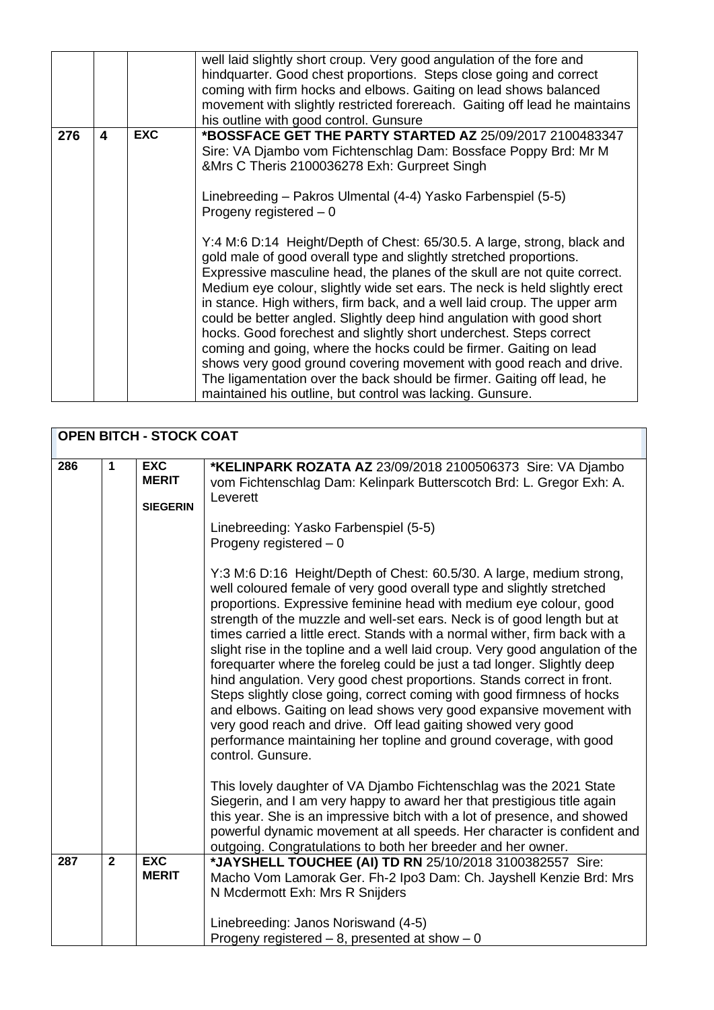|     |   |            | well laid slightly short croup. Very good angulation of the fore and<br>hindquarter. Good chest proportions. Steps close going and correct<br>coming with firm hocks and elbows. Gaiting on lead shows balanced<br>movement with slightly restricted forereach. Gaiting off lead he maintains<br>his outline with good control. Gunsure                                                                                                                                                                                                                                                                                                                                                                                                                                                                                                                                                                                                                                                                                                                                                           |
|-----|---|------------|---------------------------------------------------------------------------------------------------------------------------------------------------------------------------------------------------------------------------------------------------------------------------------------------------------------------------------------------------------------------------------------------------------------------------------------------------------------------------------------------------------------------------------------------------------------------------------------------------------------------------------------------------------------------------------------------------------------------------------------------------------------------------------------------------------------------------------------------------------------------------------------------------------------------------------------------------------------------------------------------------------------------------------------------------------------------------------------------------|
| 276 | 4 | <b>EXC</b> | *BOSSFACE GET THE PARTY STARTED AZ 25/09/2017 2100483347<br>Sire: VA Djambo vom Fichtenschlag Dam: Bossface Poppy Brd: Mr M<br>&Mrs C Theris 2100036278 Exh: Gurpreet Singh<br>Linebreeding - Pakros Ulmental (4-4) Yasko Farbenspiel (5-5)<br>Progeny registered $-0$<br>Y:4 M:6 D:14 Height/Depth of Chest: 65/30.5. A large, strong, black and<br>gold male of good overall type and slightly stretched proportions.<br>Expressive masculine head, the planes of the skull are not quite correct.<br>Medium eye colour, slightly wide set ears. The neck is held slightly erect<br>in stance. High withers, firm back, and a well laid croup. The upper arm<br>could be better angled. Slightly deep hind angulation with good short<br>hocks. Good forechest and slightly short underchest. Steps correct<br>coming and going, where the hocks could be firmer. Gaiting on lead<br>shows very good ground covering movement with good reach and drive.<br>The ligamentation over the back should be firmer. Gaiting off lead, he<br>maintained his outline, but control was lacking. Gunsure. |

|     |                | <b>OPEN BITCH - STOCK COAT</b>                |                                                                                                                                                                                                                                                                                                                                                                                                                                                                                                                                                                                                                                                                                                                                                                                                                                                                                                                                 |
|-----|----------------|-----------------------------------------------|---------------------------------------------------------------------------------------------------------------------------------------------------------------------------------------------------------------------------------------------------------------------------------------------------------------------------------------------------------------------------------------------------------------------------------------------------------------------------------------------------------------------------------------------------------------------------------------------------------------------------------------------------------------------------------------------------------------------------------------------------------------------------------------------------------------------------------------------------------------------------------------------------------------------------------|
| 286 | 1              | <b>EXC</b><br><b>MERIT</b><br><b>SIEGERIN</b> | *KELINPARK ROZATA AZ 23/09/2018 2100506373 Sire: VA Djambo<br>vom Fichtenschlag Dam: Kelinpark Butterscotch Brd: L. Gregor Exh: A.<br>Leverett                                                                                                                                                                                                                                                                                                                                                                                                                                                                                                                                                                                                                                                                                                                                                                                  |
|     |                |                                               | Linebreeding: Yasko Farbenspiel (5-5)<br>Progeny registered - 0                                                                                                                                                                                                                                                                                                                                                                                                                                                                                                                                                                                                                                                                                                                                                                                                                                                                 |
|     |                |                                               | Y:3 M:6 D:16 Height/Depth of Chest: 60.5/30. A large, medium strong,<br>well coloured female of very good overall type and slightly stretched<br>proportions. Expressive feminine head with medium eye colour, good<br>strength of the muzzle and well-set ears. Neck is of good length but at<br>times carried a little erect. Stands with a normal wither, firm back with a<br>slight rise in the topline and a well laid croup. Very good angulation of the<br>forequarter where the foreleg could be just a tad longer. Slightly deep<br>hind angulation. Very good chest proportions. Stands correct in front.<br>Steps slightly close going, correct coming with good firmness of hocks<br>and elbows. Gaiting on lead shows very good expansive movement with<br>very good reach and drive. Off lead gaiting showed very good<br>performance maintaining her topline and ground coverage, with good<br>control. Gunsure. |
|     |                |                                               | This lovely daughter of VA Djambo Fichtenschlag was the 2021 State<br>Siegerin, and I am very happy to award her that prestigious title again<br>this year. She is an impressive bitch with a lot of presence, and showed<br>powerful dynamic movement at all speeds. Her character is confident and<br>outgoing. Congratulations to both her breeder and her owner.                                                                                                                                                                                                                                                                                                                                                                                                                                                                                                                                                            |
| 287 | $\overline{2}$ | <b>EXC</b><br><b>MERIT</b>                    | *JAYSHELL TOUCHEE (AI) TD RN 25/10/2018 3100382557 Sire:<br>Macho Vom Lamorak Ger. Fh-2 Ipo3 Dam: Ch. Jayshell Kenzie Brd: Mrs                                                                                                                                                                                                                                                                                                                                                                                                                                                                                                                                                                                                                                                                                                                                                                                                  |
|     |                |                                               | N Mcdermott Exh: Mrs R Snijders                                                                                                                                                                                                                                                                                                                                                                                                                                                                                                                                                                                                                                                                                                                                                                                                                                                                                                 |
|     |                |                                               | Linebreeding: Janos Noriswand (4-5)<br>Progeny registered $-8$ , presented at show $-0$                                                                                                                                                                                                                                                                                                                                                                                                                                                                                                                                                                                                                                                                                                                                                                                                                                         |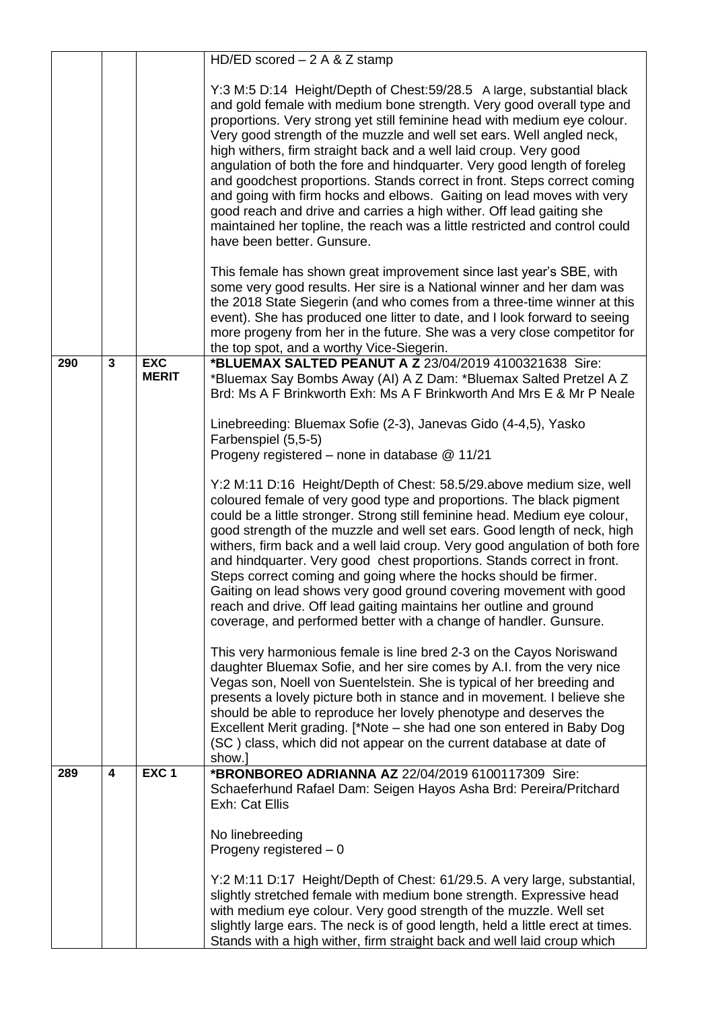|     |                |                            | HD/ED scored $-2$ A & Z stamp                                                                                                                                                                                                                                                                                                                                                                                                                                                                                                                                                                                                                                                                                                                                                                  |
|-----|----------------|----------------------------|------------------------------------------------------------------------------------------------------------------------------------------------------------------------------------------------------------------------------------------------------------------------------------------------------------------------------------------------------------------------------------------------------------------------------------------------------------------------------------------------------------------------------------------------------------------------------------------------------------------------------------------------------------------------------------------------------------------------------------------------------------------------------------------------|
|     |                |                            | Y:3 M:5 D:14 Height/Depth of Chest:59/28.5 A large, substantial black<br>and gold female with medium bone strength. Very good overall type and<br>proportions. Very strong yet still feminine head with medium eye colour.<br>Very good strength of the muzzle and well set ears. Well angled neck,<br>high withers, firm straight back and a well laid croup. Very good<br>angulation of both the fore and hindquarter. Very good length of foreleg<br>and goodchest proportions. Stands correct in front. Steps correct coming<br>and going with firm hocks and elbows. Gaiting on lead moves with very<br>good reach and drive and carries a high wither. Off lead gaiting she<br>maintained her topline, the reach was a little restricted and control could<br>have been better. Gunsure. |
|     |                |                            | This female has shown great improvement since last year's SBE, with<br>some very good results. Her sire is a National winner and her dam was<br>the 2018 State Siegerin (and who comes from a three-time winner at this<br>event). She has produced one litter to date, and I look forward to seeing<br>more progeny from her in the future. She was a very close competitor for<br>the top spot, and a worthy Vice-Siegerin.                                                                                                                                                                                                                                                                                                                                                                  |
| 290 | $\overline{3}$ | <b>EXC</b><br><b>MERIT</b> | *BLUEMAX SALTED PEANUT A Z 23/04/2019 4100321638 Sire:<br>*Bluemax Say Bombs Away (AI) A Z Dam: *Bluemax Salted Pretzel A Z<br>Brd: Ms A F Brinkworth Exh: Ms A F Brinkworth And Mrs E & Mr P Neale                                                                                                                                                                                                                                                                                                                                                                                                                                                                                                                                                                                            |
|     |                |                            | Linebreeding: Bluemax Sofie (2-3), Janevas Gido (4-4,5), Yasko<br>Farbenspiel (5,5-5)<br>Progeny registered - none in database @ 11/21                                                                                                                                                                                                                                                                                                                                                                                                                                                                                                                                                                                                                                                         |
|     |                |                            | Y:2 M:11 D:16 Height/Depth of Chest: 58.5/29.above medium size, well<br>coloured female of very good type and proportions. The black pigment<br>could be a little stronger. Strong still feminine head. Medium eye colour,<br>good strength of the muzzle and well set ears. Good length of neck, high<br>withers, firm back and a well laid croup. Very good angulation of both fore<br>and hindquarter. Very good chest proportions. Stands correct in front.<br>Steps correct coming and going where the hocks should be firmer.<br>Gaiting on lead shows very good ground covering movement with good<br>reach and drive. Off lead gaiting maintains her outline and ground<br>coverage, and performed better with a change of handler. Gunsure.                                           |
|     |                |                            | This very harmonious female is line bred 2-3 on the Cayos Noriswand<br>daughter Bluemax Sofie, and her sire comes by A.I. from the very nice<br>Vegas son, Noell von Suentelstein. She is typical of her breeding and<br>presents a lovely picture both in stance and in movement. I believe she<br>should be able to reproduce her lovely phenotype and deserves the<br>Excellent Merit grading. [*Note – she had one son entered in Baby Dog<br>(SC) class, which did not appear on the current database at date of<br>show.]                                                                                                                                                                                                                                                                |
| 289 | 4              | EXC <sub>1</sub>           | *BRONBOREO ADRIANNA AZ 22/04/2019 6100117309 Sire:<br>Schaeferhund Rafael Dam: Seigen Hayos Asha Brd: Pereira/Pritchard<br>Exh: Cat Ellis<br>No linebreeding<br>Progeny registered $-0$<br>Y:2 M:11 D:17 Height/Depth of Chest: 61/29.5. A very large, substantial,                                                                                                                                                                                                                                                                                                                                                                                                                                                                                                                            |
|     |                |                            | slightly stretched female with medium bone strength. Expressive head<br>with medium eye colour. Very good strength of the muzzle. Well set<br>slightly large ears. The neck is of good length, held a little erect at times.<br>Stands with a high wither, firm straight back and well laid croup which                                                                                                                                                                                                                                                                                                                                                                                                                                                                                        |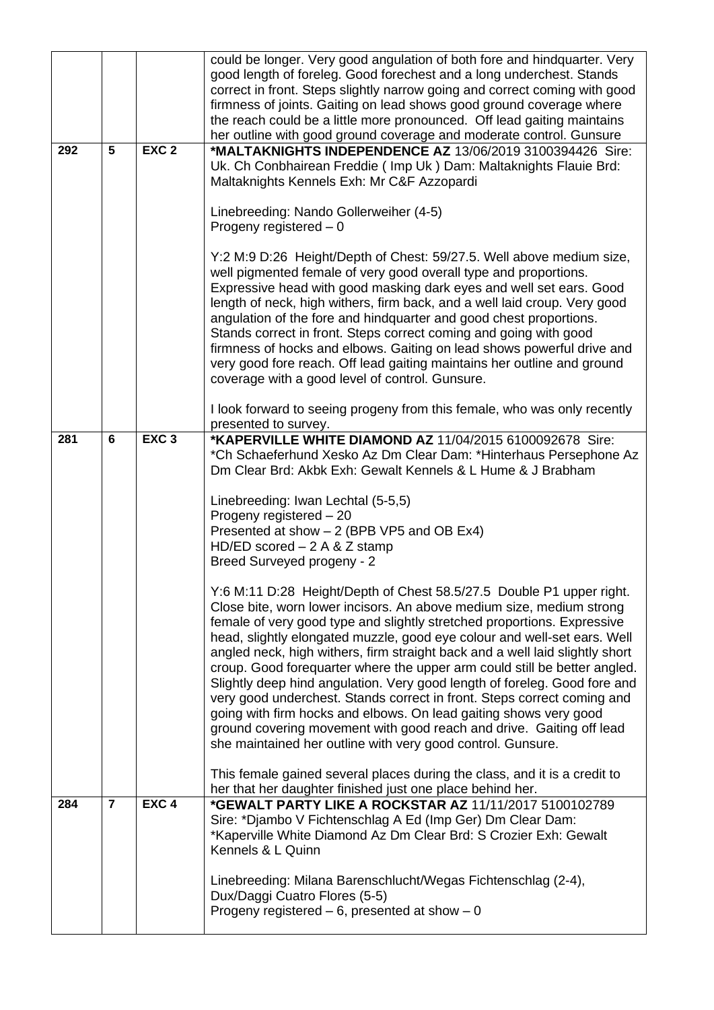|     |                |                  | could be longer. Very good angulation of both fore and hindquarter. Very<br>good length of foreleg. Good forechest and a long underchest. Stands<br>correct in front. Steps slightly narrow going and correct coming with good                                                                                                                                                                                                                                                                                                                                                                                                                                                                                                                                        |
|-----|----------------|------------------|-----------------------------------------------------------------------------------------------------------------------------------------------------------------------------------------------------------------------------------------------------------------------------------------------------------------------------------------------------------------------------------------------------------------------------------------------------------------------------------------------------------------------------------------------------------------------------------------------------------------------------------------------------------------------------------------------------------------------------------------------------------------------|
|     |                |                  | firmness of joints. Gaiting on lead shows good ground coverage where<br>the reach could be a little more pronounced. Off lead gaiting maintains                                                                                                                                                                                                                                                                                                                                                                                                                                                                                                                                                                                                                       |
|     |                |                  | her outline with good ground coverage and moderate control. Gunsure                                                                                                                                                                                                                                                                                                                                                                                                                                                                                                                                                                                                                                                                                                   |
| 292 | 5              | EXC <sub>2</sub> | *MALTAKNIGHTS INDEPENDENCE AZ 13/06/2019 3100394426 Sire:<br>Uk. Ch Conbhairean Freddie (Imp Uk) Dam: Maltaknights Flauie Brd:<br>Maltaknights Kennels Exh: Mr C&F Azzopardi                                                                                                                                                                                                                                                                                                                                                                                                                                                                                                                                                                                          |
|     |                |                  | Linebreeding: Nando Gollerweiher (4-5)<br>Progeny registered - 0                                                                                                                                                                                                                                                                                                                                                                                                                                                                                                                                                                                                                                                                                                      |
|     |                |                  | Y:2 M:9 D:26 Height/Depth of Chest: 59/27.5. Well above medium size,<br>well pigmented female of very good overall type and proportions.<br>Expressive head with good masking dark eyes and well set ears. Good<br>length of neck, high withers, firm back, and a well laid croup. Very good<br>angulation of the fore and hindquarter and good chest proportions.<br>Stands correct in front. Steps correct coming and going with good<br>firmness of hocks and elbows. Gaiting on lead shows powerful drive and<br>very good fore reach. Off lead gaiting maintains her outline and ground<br>coverage with a good level of control. Gunsure.                                                                                                                       |
|     |                |                  | I look forward to seeing progeny from this female, who was only recently<br>presented to survey.                                                                                                                                                                                                                                                                                                                                                                                                                                                                                                                                                                                                                                                                      |
| 281 | 6              | EXC <sub>3</sub> | *KAPERVILLE WHITE DIAMOND AZ 11/04/2015 6100092678 Sire:<br>*Ch Schaeferhund Xesko Az Dm Clear Dam: *Hinterhaus Persephone Az<br>Dm Clear Brd: Akbk Exh: Gewalt Kennels & L Hume & J Brabham                                                                                                                                                                                                                                                                                                                                                                                                                                                                                                                                                                          |
|     |                |                  | Linebreeding: Iwan Lechtal (5-5,5)<br>Progeny registered - 20                                                                                                                                                                                                                                                                                                                                                                                                                                                                                                                                                                                                                                                                                                         |
|     |                |                  | Presented at show - 2 (BPB VP5 and OB Ex4)                                                                                                                                                                                                                                                                                                                                                                                                                                                                                                                                                                                                                                                                                                                            |
|     |                |                  | HD/ED scored $-2$ A & Z stamp                                                                                                                                                                                                                                                                                                                                                                                                                                                                                                                                                                                                                                                                                                                                         |
|     |                |                  | Breed Surveyed progeny - 2                                                                                                                                                                                                                                                                                                                                                                                                                                                                                                                                                                                                                                                                                                                                            |
|     |                |                  | Y:6 M:11 D:28 Height/Depth of Chest 58.5/27.5 Double P1 upper right.<br>Close bite, worn lower incisors. An above medium size, medium strong<br>female of very good type and slightly stretched proportions. Expressive<br>head, slightly elongated muzzle, good eye colour and well-set ears. Well<br>angled neck, high withers, firm straight back and a well laid slightly short<br>croup. Good forequarter where the upper arm could still be better angled.<br>Slightly deep hind angulation. Very good length of foreleg. Good fore and<br>very good underchest. Stands correct in front. Steps correct coming and<br>going with firm hocks and elbows. On lead gaiting shows very good<br>ground covering movement with good reach and drive. Gaiting off lead |
|     |                |                  | she maintained her outline with very good control. Gunsure.                                                                                                                                                                                                                                                                                                                                                                                                                                                                                                                                                                                                                                                                                                           |
|     |                |                  | This female gained several places during the class, and it is a credit to<br>her that her daughter finished just one place behind her.                                                                                                                                                                                                                                                                                                                                                                                                                                                                                                                                                                                                                                |
| 284 | $\overline{7}$ | EXC <sub>4</sub> | *GEWALT PARTY LIKE A ROCKSTAR AZ 11/11/2017 5100102789<br>Sire: *Djambo V Fichtenschlag A Ed (Imp Ger) Dm Clear Dam:<br>*Kaperville White Diamond Az Dm Clear Brd: S Crozier Exh: Gewalt<br>Kennels & L Quinn                                                                                                                                                                                                                                                                                                                                                                                                                                                                                                                                                         |
|     |                |                  | Linebreeding: Milana Barenschlucht/Wegas Fichtenschlag (2-4),<br>Dux/Daggi Cuatro Flores (5-5)                                                                                                                                                                                                                                                                                                                                                                                                                                                                                                                                                                                                                                                                        |
|     |                |                  | Progeny registered $-6$ , presented at show $-0$                                                                                                                                                                                                                                                                                                                                                                                                                                                                                                                                                                                                                                                                                                                      |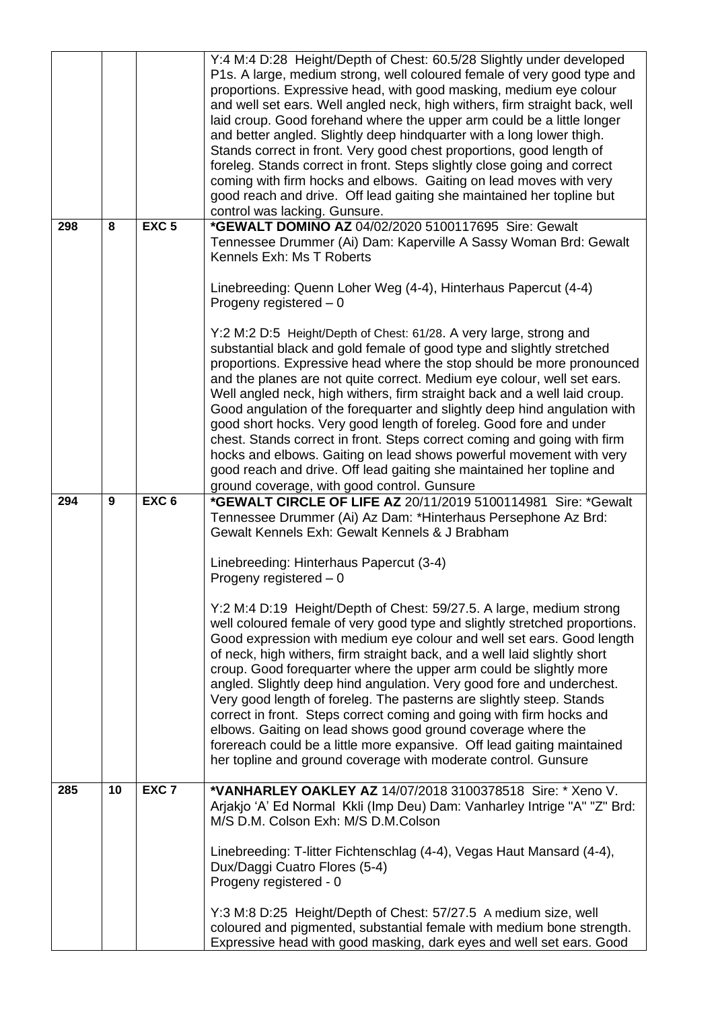|     |    |                  | Y:4 M:4 D:28 Height/Depth of Chest: 60.5/28 Slightly under developed<br>P1s. A large, medium strong, well coloured female of very good type and<br>proportions. Expressive head, with good masking, medium eye colour<br>and well set ears. Well angled neck, high withers, firm straight back, well<br>laid croup. Good forehand where the upper arm could be a little longer<br>and better angled. Slightly deep hindquarter with a long lower thigh.<br>Stands correct in front. Very good chest proportions, good length of<br>foreleg. Stands correct in front. Steps slightly close going and correct<br>coming with firm hocks and elbows. Gaiting on lead moves with very<br>good reach and drive. Off lead gaiting she maintained her topline but<br>control was lacking. Gunsure.                         |
|-----|----|------------------|---------------------------------------------------------------------------------------------------------------------------------------------------------------------------------------------------------------------------------------------------------------------------------------------------------------------------------------------------------------------------------------------------------------------------------------------------------------------------------------------------------------------------------------------------------------------------------------------------------------------------------------------------------------------------------------------------------------------------------------------------------------------------------------------------------------------|
| 298 | 8  | EXC <sub>5</sub> | *GEWALT DOMINO AZ 04/02/2020 5100117695 Sire: Gewalt<br>Tennessee Drummer (Ai) Dam: Kaperville A Sassy Woman Brd: Gewalt<br>Kennels Exh: Ms T Roberts                                                                                                                                                                                                                                                                                                                                                                                                                                                                                                                                                                                                                                                               |
|     |    |                  | Linebreeding: Quenn Loher Weg (4-4), Hinterhaus Papercut (4-4)<br>Progeny registered - 0                                                                                                                                                                                                                                                                                                                                                                                                                                                                                                                                                                                                                                                                                                                            |
|     |    |                  | Y:2 M:2 D:5 Height/Depth of Chest: 61/28. A very large, strong and<br>substantial black and gold female of good type and slightly stretched<br>proportions. Expressive head where the stop should be more pronounced<br>and the planes are not quite correct. Medium eye colour, well set ears.<br>Well angled neck, high withers, firm straight back and a well laid croup.<br>Good angulation of the forequarter and slightly deep hind angulation with<br>good short hocks. Very good length of foreleg. Good fore and under<br>chest. Stands correct in front. Steps correct coming and going with firm<br>hocks and elbows. Gaiting on lead shows powerful movement with very<br>good reach and drive. Off lead gaiting she maintained her topline and<br>ground coverage, with good control. Gunsure          |
| 294 | 9  | EXC <sub>6</sub> | *GEWALT CIRCLE OF LIFE AZ 20/11/2019 5100114981 Sire: *Gewalt<br>Tennessee Drummer (Ai) Az Dam: *Hinterhaus Persephone Az Brd:<br>Gewalt Kennels Exh: Gewalt Kennels & J Brabham                                                                                                                                                                                                                                                                                                                                                                                                                                                                                                                                                                                                                                    |
|     |    |                  | Linebreeding: Hinterhaus Papercut (3-4)<br>Progeny registered - 0                                                                                                                                                                                                                                                                                                                                                                                                                                                                                                                                                                                                                                                                                                                                                   |
|     |    |                  | Y:2 M:4 D:19 Height/Depth of Chest: 59/27.5. A large, medium strong<br>well coloured female of very good type and slightly stretched proportions.<br>Good expression with medium eye colour and well set ears. Good length<br>of neck, high withers, firm straight back, and a well laid slightly short<br>croup. Good forequarter where the upper arm could be slightly more<br>angled. Slightly deep hind angulation. Very good fore and underchest.<br>Very good length of foreleg. The pasterns are slightly steep. Stands<br>correct in front. Steps correct coming and going with firm hocks and<br>elbows. Gaiting on lead shows good ground coverage where the<br>forereach could be a little more expansive. Off lead gaiting maintained<br>her topline and ground coverage with moderate control. Gunsure |
| 285 | 10 | EXC <sub>7</sub> | *VANHARLEY OAKLEY AZ 14/07/2018 3100378518 Sire: * Xeno V.<br>Arjakjo 'A' Ed Normal Kkli (Imp Deu) Dam: Vanharley Intrige "A" "Z" Brd:<br>M/S D.M. Colson Exh: M/S D.M.Colson                                                                                                                                                                                                                                                                                                                                                                                                                                                                                                                                                                                                                                       |
|     |    |                  | Linebreeding: T-litter Fichtenschlag (4-4), Vegas Haut Mansard (4-4),<br>Dux/Daggi Cuatro Flores (5-4)<br>Progeny registered - 0                                                                                                                                                                                                                                                                                                                                                                                                                                                                                                                                                                                                                                                                                    |
|     |    |                  | Y:3 M:8 D:25 Height/Depth of Chest: 57/27.5 A medium size, well<br>coloured and pigmented, substantial female with medium bone strength.<br>Expressive head with good masking, dark eyes and well set ears. Good                                                                                                                                                                                                                                                                                                                                                                                                                                                                                                                                                                                                    |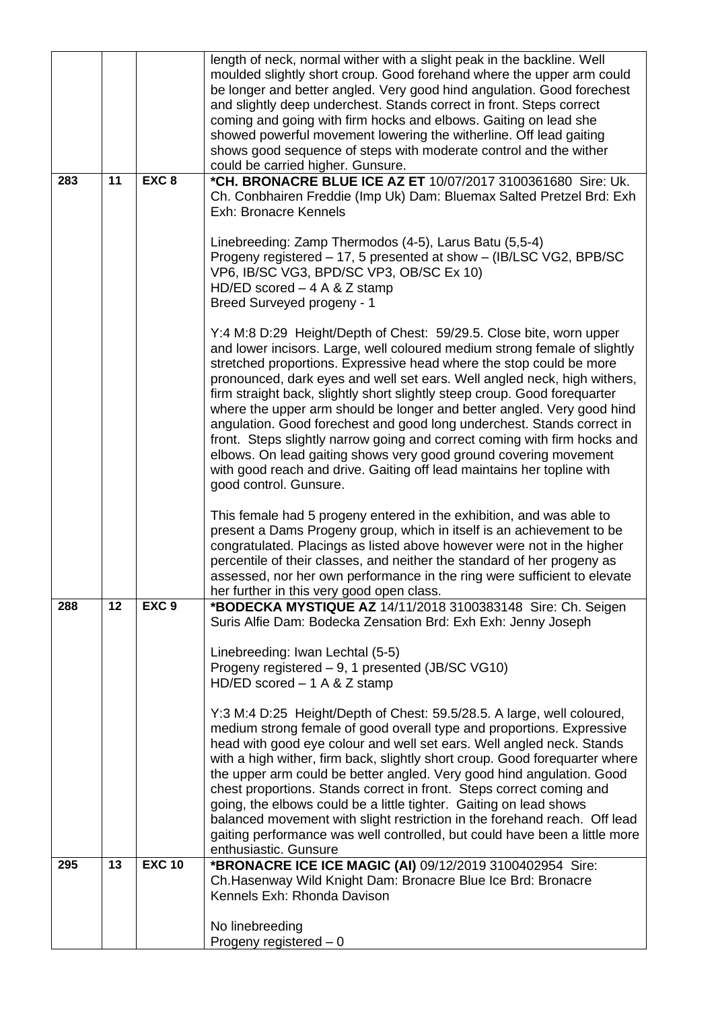|     |    |                  | Ch.Hasenway Wild Knight Dam: Bronacre Blue Ice Brd: Bronacre<br>Kennels Exh: Rhonda Davison<br>No linebreeding<br>Progeny registered $-0$                                                                                                                                                                                                                                                                                                                                                                                                                                                                                                                                                                                                                                                                                                                                                                                                                                |
|-----|----|------------------|--------------------------------------------------------------------------------------------------------------------------------------------------------------------------------------------------------------------------------------------------------------------------------------------------------------------------------------------------------------------------------------------------------------------------------------------------------------------------------------------------------------------------------------------------------------------------------------------------------------------------------------------------------------------------------------------------------------------------------------------------------------------------------------------------------------------------------------------------------------------------------------------------------------------------------------------------------------------------|
| 295 | 13 | <b>EXC 10</b>    | Suris Alfie Dam: Bodecka Zensation Brd: Exh Exh: Jenny Joseph<br>Linebreeding: Iwan Lechtal (5-5)<br>Progeny registered - 9, 1 presented (JB/SC VG10)<br>HD/ED scored $-1$ A & Z stamp<br>Y:3 M:4 D:25 Height/Depth of Chest: 59.5/28.5. A large, well coloured,<br>medium strong female of good overall type and proportions. Expressive<br>head with good eye colour and well set ears. Well angled neck. Stands<br>with a high wither, firm back, slightly short croup. Good forequarter where<br>the upper arm could be better angled. Very good hind angulation. Good<br>chest proportions. Stands correct in front. Steps correct coming and<br>going, the elbows could be a little tighter. Gaiting on lead shows<br>balanced movement with slight restriction in the forehand reach. Off lead<br>gaiting performance was well controlled, but could have been a little more<br>enthusiastic. Gunsure<br>*BRONACRE ICE ICE MAGIC (AI) 09/12/2019 3100402954 Sire: |
| 288 | 12 | EXC <sub>9</sub> | This female had 5 progeny entered in the exhibition, and was able to<br>present a Dams Progeny group, which in itself is an achievement to be<br>congratulated. Placings as listed above however were not in the higher<br>percentile of their classes, and neither the standard of her progeny as<br>assessed, nor her own performance in the ring were sufficient to elevate<br>her further in this very good open class.<br>*BODECKA MYSTIQUE AZ 14/11/2018 3100383148 Sire: Ch. Seigen                                                                                                                                                                                                                                                                                                                                                                                                                                                                               |
|     |    |                  | Breed Surveyed progeny - 1<br>Y:4 M:8 D:29 Height/Depth of Chest: 59/29.5. Close bite, worn upper<br>and lower incisors. Large, well coloured medium strong female of slightly<br>stretched proportions. Expressive head where the stop could be more<br>pronounced, dark eyes and well set ears. Well angled neck, high withers,<br>firm straight back, slightly short slightly steep croup. Good forequarter<br>where the upper arm should be longer and better angled. Very good hind<br>angulation. Good forechest and good long underchest. Stands correct in<br>front. Steps slightly narrow going and correct coming with firm hocks and<br>elbows. On lead gaiting shows very good ground covering movement<br>with good reach and drive. Gaiting off lead maintains her topline with<br>good control. Gunsure.                                                                                                                                                  |
| 283 | 11 | EXC <sub>8</sub> | *CH. BRONACRE BLUE ICE AZ ET 10/07/2017 3100361680 Sire: Uk.<br>Ch. Conbhairen Freddie (Imp Uk) Dam: Bluemax Salted Pretzel Brd: Exh<br><b>Exh: Bronacre Kennels</b><br>Linebreeding: Zamp Thermodos (4-5), Larus Batu (5,5-4)<br>Progeny registered - 17, 5 presented at show - (IB/LSC VG2, BPB/SC<br>VP6, IB/SC VG3, BPD/SC VP3, OB/SC Ex 10)<br>HD/ED scored $-4$ A & Z stamp                                                                                                                                                                                                                                                                                                                                                                                                                                                                                                                                                                                        |
|     |    |                  | length of neck, normal wither with a slight peak in the backline. Well<br>moulded slightly short croup. Good forehand where the upper arm could<br>be longer and better angled. Very good hind angulation. Good forechest<br>and slightly deep underchest. Stands correct in front. Steps correct<br>coming and going with firm hocks and elbows. Gaiting on lead she<br>showed powerful movement lowering the witherline. Off lead gaiting<br>shows good sequence of steps with moderate control and the wither<br>could be carried higher. Gunsure.                                                                                                                                                                                                                                                                                                                                                                                                                    |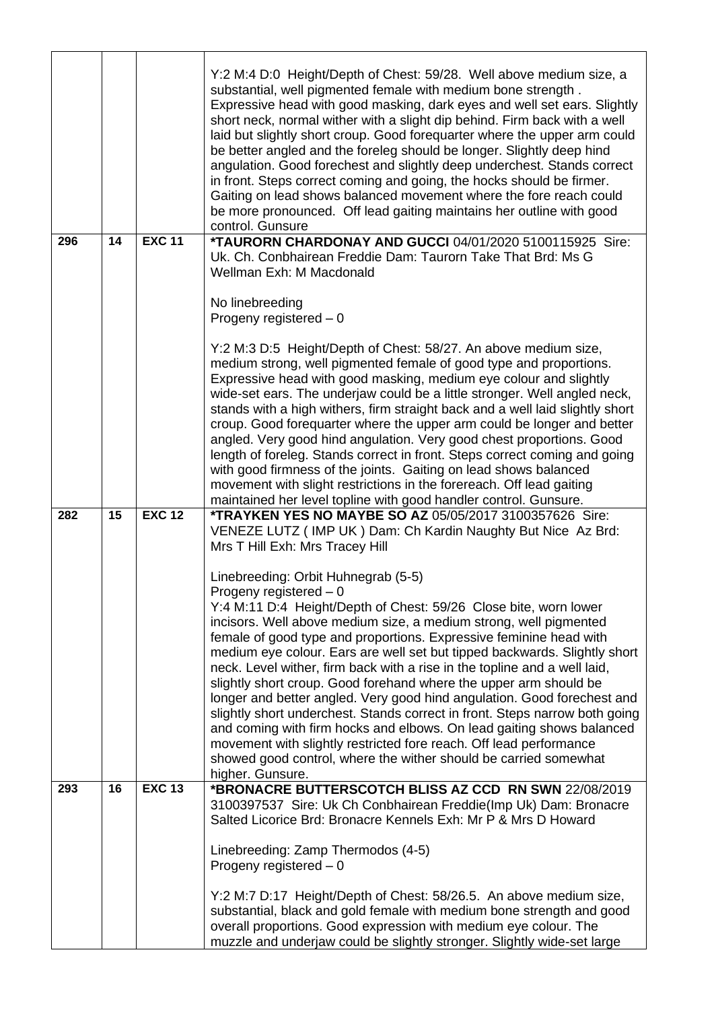|     |    |               | Y:2 M:4 D:0 Height/Depth of Chest: 59/28. Well above medium size, a<br>substantial, well pigmented female with medium bone strength.<br>Expressive head with good masking, dark eyes and well set ears. Slightly<br>short neck, normal wither with a slight dip behind. Firm back with a well<br>laid but slightly short croup. Good forequarter where the upper arm could<br>be better angled and the foreleg should be longer. Slightly deep hind<br>angulation. Good forechest and slightly deep underchest. Stands correct<br>in front. Steps correct coming and going, the hocks should be firmer.<br>Gaiting on lead shows balanced movement where the fore reach could<br>be more pronounced. Off lead gaiting maintains her outline with good<br>control. Gunsure                                                                                                                            |
|-----|----|---------------|------------------------------------------------------------------------------------------------------------------------------------------------------------------------------------------------------------------------------------------------------------------------------------------------------------------------------------------------------------------------------------------------------------------------------------------------------------------------------------------------------------------------------------------------------------------------------------------------------------------------------------------------------------------------------------------------------------------------------------------------------------------------------------------------------------------------------------------------------------------------------------------------------|
| 296 | 14 | <b>EXC 11</b> | *TAURORN CHARDONAY AND GUCCI 04/01/2020 5100115925 Sire:<br>Uk. Ch. Conbhairean Freddie Dam: Taurorn Take That Brd: Ms G<br>Wellman Exh: M Macdonald<br>No linebreeding                                                                                                                                                                                                                                                                                                                                                                                                                                                                                                                                                                                                                                                                                                                              |
|     |    |               | Progeny registered $-0$                                                                                                                                                                                                                                                                                                                                                                                                                                                                                                                                                                                                                                                                                                                                                                                                                                                                              |
|     |    |               | Y:2 M:3 D:5 Height/Depth of Chest: 58/27. An above medium size,<br>medium strong, well pigmented female of good type and proportions.<br>Expressive head with good masking, medium eye colour and slightly<br>wide-set ears. The underjaw could be a little stronger. Well angled neck,<br>stands with a high withers, firm straight back and a well laid slightly short<br>croup. Good forequarter where the upper arm could be longer and better<br>angled. Very good hind angulation. Very good chest proportions. Good<br>length of foreleg. Stands correct in front. Steps correct coming and going<br>with good firmness of the joints. Gaiting on lead shows balanced<br>movement with slight restrictions in the forereach. Off lead gaiting<br>maintained her level topline with good handler control. Gunsure.                                                                             |
| 282 | 15 | <b>EXC 12</b> | *TRAYKEN YES NO MAYBE SO AZ 05/05/2017 3100357626 Sire:<br>VENEZE LUTZ (IMP UK) Dam: Ch Kardin Naughty But Nice Az Brd:<br>Mrs T Hill Exh: Mrs Tracey Hill                                                                                                                                                                                                                                                                                                                                                                                                                                                                                                                                                                                                                                                                                                                                           |
|     |    |               | Linebreeding: Orbit Huhnegrab (5-5)<br>Progeny registered $-0$                                                                                                                                                                                                                                                                                                                                                                                                                                                                                                                                                                                                                                                                                                                                                                                                                                       |
| 293 | 16 | <b>EXC 13</b> | Y:4 M:11 D:4 Height/Depth of Chest: 59/26 Close bite, worn lower<br>incisors. Well above medium size, a medium strong, well pigmented<br>female of good type and proportions. Expressive feminine head with<br>medium eye colour. Ears are well set but tipped backwards. Slightly short<br>neck. Level wither, firm back with a rise in the topline and a well laid,<br>slightly short croup. Good forehand where the upper arm should be<br>longer and better angled. Very good hind angulation. Good forechest and<br>slightly short underchest. Stands correct in front. Steps narrow both going<br>and coming with firm hocks and elbows. On lead gaiting shows balanced<br>movement with slightly restricted fore reach. Off lead performance<br>showed good control, where the wither should be carried somewhat<br>higher. Gunsure.<br>*BRONACRE BUTTERSCOTCH BLISS AZ CCD RN SWN 22/08/2019 |
|     |    |               | 3100397537 Sire: Uk Ch Conbhairean Freddie(Imp Uk) Dam: Bronacre                                                                                                                                                                                                                                                                                                                                                                                                                                                                                                                                                                                                                                                                                                                                                                                                                                     |
|     |    |               | Salted Licorice Brd: Bronacre Kennels Exh: Mr P & Mrs D Howard<br>Linebreeding: Zamp Thermodos (4-5)<br>Progeny registered $-0$<br>Y:2 M:7 D:17 Height/Depth of Chest: 58/26.5. An above medium size,<br>substantial, black and gold female with medium bone strength and good<br>overall proportions. Good expression with medium eye colour. The<br>muzzle and underjaw could be slightly stronger. Slightly wide-set large                                                                                                                                                                                                                                                                                                                                                                                                                                                                        |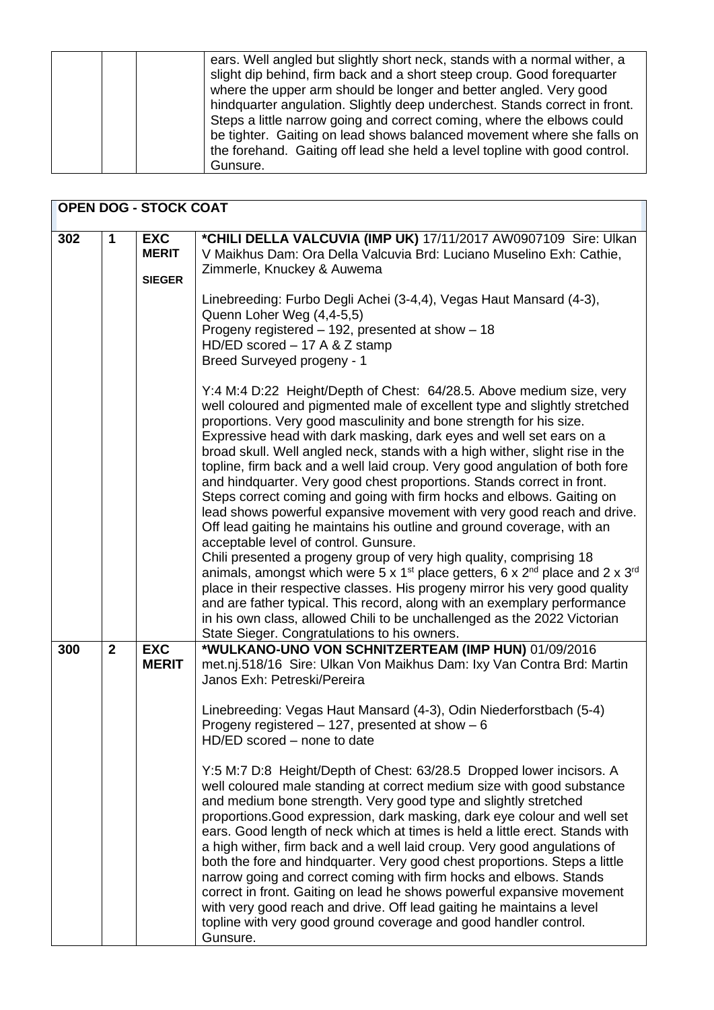| ears. Well angled but slightly short neck, stands with a normal wither, a<br>slight dip behind, firm back and a short steep croup. Good forequarter<br>where the upper arm should be longer and better angled. Very good<br>hindquarter angulation. Slightly deep underchest. Stands correct in front.<br>Steps a little narrow going and correct coming, where the elbows could<br>be tighter. Gaiting on lead shows balanced movement where she falls on<br>the forehand. Gaiting off lead she held a level topline with good control.<br>Gunsure. |
|------------------------------------------------------------------------------------------------------------------------------------------------------------------------------------------------------------------------------------------------------------------------------------------------------------------------------------------------------------------------------------------------------------------------------------------------------------------------------------------------------------------------------------------------------|
|------------------------------------------------------------------------------------------------------------------------------------------------------------------------------------------------------------------------------------------------------------------------------------------------------------------------------------------------------------------------------------------------------------------------------------------------------------------------------------------------------------------------------------------------------|

| <b>OPEN DOG - STOCK COAT</b> |              |                                             |                                                                                                                                                                                                                                                                                                                                                                                                                                                                                                                                                                                                                                                                                                                                                                                                                                                                                                                                                                                                                                                                                                                                                                                                                                                                                                 |
|------------------------------|--------------|---------------------------------------------|-------------------------------------------------------------------------------------------------------------------------------------------------------------------------------------------------------------------------------------------------------------------------------------------------------------------------------------------------------------------------------------------------------------------------------------------------------------------------------------------------------------------------------------------------------------------------------------------------------------------------------------------------------------------------------------------------------------------------------------------------------------------------------------------------------------------------------------------------------------------------------------------------------------------------------------------------------------------------------------------------------------------------------------------------------------------------------------------------------------------------------------------------------------------------------------------------------------------------------------------------------------------------------------------------|
| 302                          | $\mathbf 1$  | <b>EXC</b><br><b>MERIT</b><br><b>SIEGER</b> | *CHILI DELLA VALCUVIA (IMP UK) 17/11/2017 AW0907109 Sire: Ulkan<br>V Maikhus Dam: Ora Della Valcuvia Brd: Luciano Muselino Exh: Cathie,<br>Zimmerle, Knuckey & Auwema<br>Linebreeding: Furbo Degli Achei (3-4,4), Vegas Haut Mansard (4-3),<br>Quenn Loher Weg (4,4-5,5)<br>Progeny registered - 192, presented at show - 18<br>HD/ED scored $-17$ A & Z stamp<br>Breed Surveyed progeny - 1                                                                                                                                                                                                                                                                                                                                                                                                                                                                                                                                                                                                                                                                                                                                                                                                                                                                                                    |
|                              |              |                                             | Y:4 M:4 D:22 Height/Depth of Chest: 64/28.5. Above medium size, very<br>well coloured and pigmented male of excellent type and slightly stretched<br>proportions. Very good masculinity and bone strength for his size.<br>Expressive head with dark masking, dark eyes and well set ears on a<br>broad skull. Well angled neck, stands with a high wither, slight rise in the<br>topline, firm back and a well laid croup. Very good angulation of both fore<br>and hindquarter. Very good chest proportions. Stands correct in front.<br>Steps correct coming and going with firm hocks and elbows. Gaiting on<br>lead shows powerful expansive movement with very good reach and drive.<br>Off lead gaiting he maintains his outline and ground coverage, with an<br>acceptable level of control. Gunsure.<br>Chili presented a progeny group of very high quality, comprising 18<br>animals, amongst which were 5 x 1 <sup>st</sup> place getters, 6 x 2 <sup>nd</sup> place and 2 x 3 <sup>rd</sup><br>place in their respective classes. His progeny mirror his very good quality<br>and are father typical. This record, along with an exemplary performance<br>in his own class, allowed Chili to be unchallenged as the 2022 Victorian<br>State Sieger. Congratulations to his owners. |
| 300                          | $\mathbf{2}$ | <b>EXC</b><br><b>MERIT</b>                  | *WULKANO-UNO VON SCHNITZERTEAM (IMP HUN) 01/09/2016<br>met.nj.518/16 Sire: Ulkan Von Maikhus Dam: Ixy Van Contra Brd: Martin<br>Janos Exh: Petreski/Pereira<br>Linebreeding: Vegas Haut Mansard (4-3), Odin Niederforstbach (5-4)<br>Progeny registered $-127$ , presented at show $-6$<br>HD/ED scored - none to date<br>Y:5 M:7 D:8 Height/Depth of Chest: 63/28.5 Dropped lower incisors. A<br>well coloured male standing at correct medium size with good substance<br>and medium bone strength. Very good type and slightly stretched<br>proportions. Good expression, dark masking, dark eye colour and well set<br>ears. Good length of neck which at times is held a little erect. Stands with<br>a high wither, firm back and a well laid croup. Very good angulations of<br>both the fore and hindquarter. Very good chest proportions. Steps a little<br>narrow going and correct coming with firm hocks and elbows. Stands<br>correct in front. Gaiting on lead he shows powerful expansive movement<br>with very good reach and drive. Off lead gaiting he maintains a level<br>topline with very good ground coverage and good handler control.<br>Gunsure.                                                                                                                      |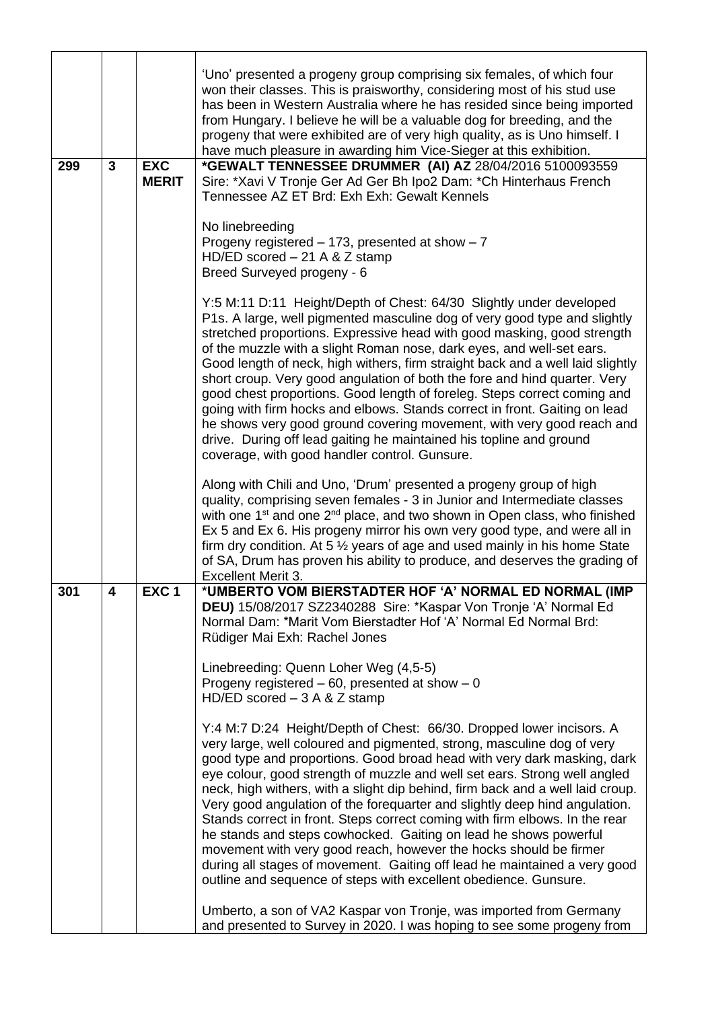| 299 | 3 | <b>EXC</b><br><b>MERIT</b> | 'Uno' presented a progeny group comprising six females, of which four<br>won their classes. This is praisworthy, considering most of his stud use<br>has been in Western Australia where he has resided since being imported<br>from Hungary. I believe he will be a valuable dog for breeding, and the<br>progeny that were exhibited are of very high quality, as is Uno himself. I<br>have much pleasure in awarding him Vice-Sieger at this exhibition.<br>*GEWALT TENNESSEE DRUMMER (AI) AZ 28/04/2016 5100093559<br>Sire: *Xavi V Tronje Ger Ad Ger Bh Ipo2 Dam: *Ch Hinterhaus French<br>Tennessee AZ ET Brd: Exh Exh: Gewalt Kennels<br>No linebreeding                                                                                                                                                                                 |
|-----|---|----------------------------|-------------------------------------------------------------------------------------------------------------------------------------------------------------------------------------------------------------------------------------------------------------------------------------------------------------------------------------------------------------------------------------------------------------------------------------------------------------------------------------------------------------------------------------------------------------------------------------------------------------------------------------------------------------------------------------------------------------------------------------------------------------------------------------------------------------------------------------------------|
|     |   |                            | Progeny registered $-173$ , presented at show $-7$<br>HD/ED scored $-21$ A & Z stamp<br>Breed Surveyed progeny - 6                                                                                                                                                                                                                                                                                                                                                                                                                                                                                                                                                                                                                                                                                                                              |
|     |   |                            | Y:5 M:11 D:11 Height/Depth of Chest: 64/30 Slightly under developed<br>P1s. A large, well pigmented masculine dog of very good type and slightly<br>stretched proportions. Expressive head with good masking, good strength<br>of the muzzle with a slight Roman nose, dark eyes, and well-set ears.<br>Good length of neck, high withers, firm straight back and a well laid slightly<br>short croup. Very good angulation of both the fore and hind quarter. Very<br>good chest proportions. Good length of foreleg. Steps correct coming and<br>going with firm hocks and elbows. Stands correct in front. Gaiting on lead<br>he shows very good ground covering movement, with very good reach and<br>drive. During off lead gaiting he maintained his topline and ground<br>coverage, with good handler control. Gunsure.                  |
|     |   |                            | Along with Chili and Uno, 'Drum' presented a progeny group of high<br>quality, comprising seven females - 3 in Junior and Intermediate classes<br>with one 1 <sup>st</sup> and one 2 <sup>nd</sup> place, and two shown in Open class, who finished<br>Ex 5 and Ex 6. His progeny mirror his own very good type, and were all in<br>firm dry condition. At 5 $\frac{1}{2}$ years of age and used mainly in his home State<br>of SA, Drum has proven his ability to produce, and deserves the grading of<br>Excellent Merit 3.                                                                                                                                                                                                                                                                                                                   |
| 301 | 4 | EXC <sub>1</sub>           | *UMBERTO VOM BIERSTADTER HOF 'A' NORMAL ED NORMAL (IMP<br>DEU) 15/08/2017 SZ2340288 Sire: *Kaspar Von Tronje 'A' Normal Ed<br>Normal Dam: *Marit Vom Bierstadter Hof 'A' Normal Ed Normal Brd:<br>Rüdiger Mai Exh: Rachel Jones                                                                                                                                                                                                                                                                                                                                                                                                                                                                                                                                                                                                                 |
|     |   |                            | Linebreeding: Quenn Loher Weg (4,5-5)<br>Progeny registered $-60$ , presented at show $-0$<br>HD/ED scored $-3$ A & Z stamp                                                                                                                                                                                                                                                                                                                                                                                                                                                                                                                                                                                                                                                                                                                     |
|     |   |                            | Y:4 M:7 D:24 Height/Depth of Chest: 66/30. Dropped lower incisors. A<br>very large, well coloured and pigmented, strong, masculine dog of very<br>good type and proportions. Good broad head with very dark masking, dark<br>eye colour, good strength of muzzle and well set ears. Strong well angled<br>neck, high withers, with a slight dip behind, firm back and a well laid croup.<br>Very good angulation of the forequarter and slightly deep hind angulation.<br>Stands correct in front. Steps correct coming with firm elbows. In the rear<br>he stands and steps cowhocked. Gaiting on lead he shows powerful<br>movement with very good reach, however the hocks should be firmer<br>during all stages of movement. Gaiting off lead he maintained a very good<br>outline and sequence of steps with excellent obedience. Gunsure. |
|     |   |                            | Umberto, a son of VA2 Kaspar von Tronje, was imported from Germany<br>and presented to Survey in 2020. I was hoping to see some progeny from                                                                                                                                                                                                                                                                                                                                                                                                                                                                                                                                                                                                                                                                                                    |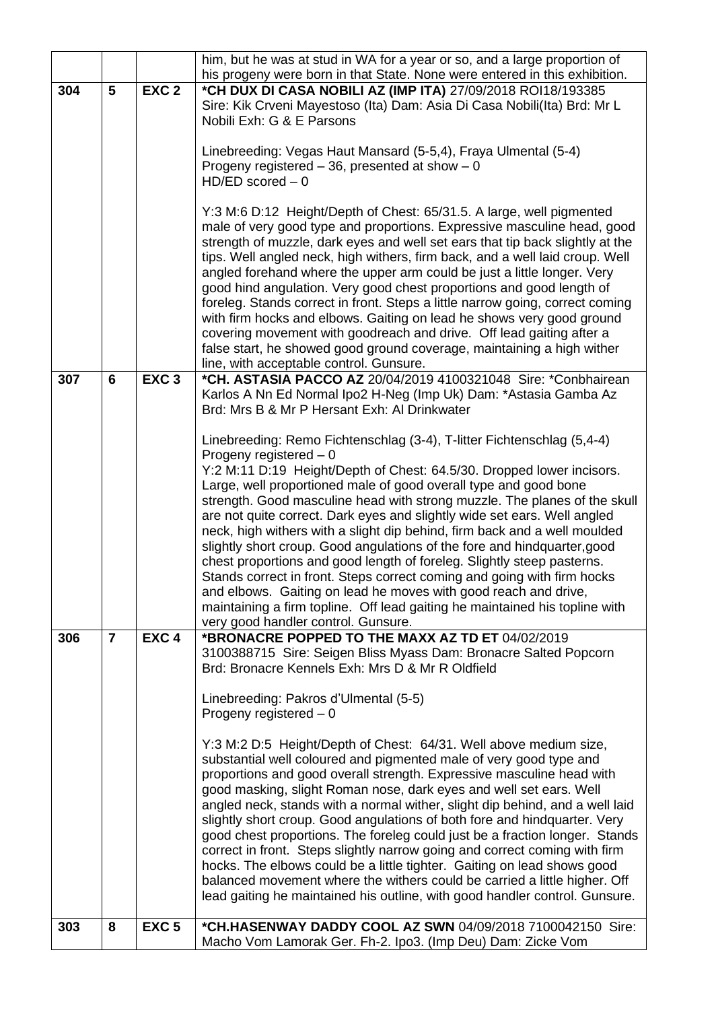|     |                 |                  | him, but he was at stud in WA for a year or so, and a large proportion of                                                                             |
|-----|-----------------|------------------|-------------------------------------------------------------------------------------------------------------------------------------------------------|
|     |                 |                  | his progeny were born in that State. None were entered in this exhibition.                                                                            |
| 304 | 5               | EXC <sub>2</sub> | *CH DUX DI CASA NOBILI AZ (IMP ITA) 27/09/2018 ROI18/193385                                                                                           |
|     |                 |                  | Sire: Kik Crveni Mayestoso (Ita) Dam: Asia Di Casa Nobili(Ita) Brd: Mr L                                                                              |
|     |                 |                  | Nobili Exh: G & E Parsons                                                                                                                             |
|     |                 |                  |                                                                                                                                                       |
|     |                 |                  | Linebreeding: Vegas Haut Mansard (5-5,4), Fraya Ulmental (5-4)                                                                                        |
|     |                 |                  | Progeny registered $-36$ , presented at show $-0$                                                                                                     |
|     |                 |                  | $HD/ED$ scored $-0$                                                                                                                                   |
|     |                 |                  |                                                                                                                                                       |
|     |                 |                  | Y:3 M:6 D:12 Height/Depth of Chest: 65/31.5. A large, well pigmented                                                                                  |
|     |                 |                  | male of very good type and proportions. Expressive masculine head, good                                                                               |
|     |                 |                  | strength of muzzle, dark eyes and well set ears that tip back slightly at the                                                                         |
|     |                 |                  | tips. Well angled neck, high withers, firm back, and a well laid croup. Well                                                                          |
|     |                 |                  | angled forehand where the upper arm could be just a little longer. Very                                                                               |
|     |                 |                  | good hind angulation. Very good chest proportions and good length of<br>foreleg. Stands correct in front. Steps a little narrow going, correct coming |
|     |                 |                  | with firm hocks and elbows. Gaiting on lead he shows very good ground                                                                                 |
|     |                 |                  | covering movement with goodreach and drive. Off lead gaiting after a                                                                                  |
|     |                 |                  | false start, he showed good ground coverage, maintaining a high wither                                                                                |
|     |                 |                  | line, with acceptable control. Gunsure.                                                                                                               |
| 307 | $6\phantom{1}6$ | EXC <sub>3</sub> | *CH. ASTASIA PACCO AZ 20/04/2019 4100321048 Sire: *Conbhairean                                                                                        |
|     |                 |                  | Karlos A Nn Ed Normal Ipo2 H-Neg (Imp Uk) Dam: *Astasia Gamba Az                                                                                      |
|     |                 |                  | Brd: Mrs B & Mr P Hersant Exh: Al Drinkwater                                                                                                          |
|     |                 |                  |                                                                                                                                                       |
|     |                 |                  | Linebreeding: Remo Fichtenschlag (3-4), T-litter Fichtenschlag (5,4-4)                                                                                |
|     |                 |                  | Progeny registered $-0$                                                                                                                               |
|     |                 |                  | Y:2 M:11 D:19 Height/Depth of Chest: 64.5/30. Dropped lower incisors.                                                                                 |
|     |                 |                  | Large, well proportioned male of good overall type and good bone                                                                                      |
|     |                 |                  | strength. Good masculine head with strong muzzle. The planes of the skull                                                                             |
|     |                 |                  | are not quite correct. Dark eyes and slightly wide set ears. Well angled                                                                              |
|     |                 |                  | neck, high withers with a slight dip behind, firm back and a well moulded                                                                             |
|     |                 |                  | slightly short croup. Good angulations of the fore and hindquarter, good                                                                              |
|     |                 |                  | chest proportions and good length of foreleg. Slightly steep pasterns.                                                                                |
|     |                 |                  | Stands correct in front. Steps correct coming and going with firm hocks                                                                               |
|     |                 |                  | and elbows. Gaiting on lead he moves with good reach and drive,                                                                                       |
|     |                 |                  | maintaining a firm topline. Off lead gaiting he maintained his topline with                                                                           |
|     |                 |                  | very good handler control. Gunsure.                                                                                                                   |
| 306 | $\overline{7}$  | EXC <sub>4</sub> | *BRONACRE POPPED TO THE MAXX AZ TD ET 04/02/2019                                                                                                      |
|     |                 |                  | 3100388715 Sire: Seigen Bliss Myass Dam: Bronacre Salted Popcorn                                                                                      |
|     |                 |                  | Brd: Bronacre Kennels Exh: Mrs D & Mr R Oldfield                                                                                                      |
|     |                 |                  |                                                                                                                                                       |
|     |                 |                  | Linebreeding: Pakros d'Ulmental (5-5)                                                                                                                 |
|     |                 |                  | Progeny registered $-0$                                                                                                                               |
|     |                 |                  |                                                                                                                                                       |
|     |                 |                  | Y:3 M:2 D:5 Height/Depth of Chest: 64/31. Well above medium size,                                                                                     |
|     |                 |                  | substantial well coloured and pigmented male of very good type and<br>proportions and good overall strength. Expressive masculine head with           |
|     |                 |                  | good masking, slight Roman nose, dark eyes and well set ears. Well                                                                                    |
|     |                 |                  | angled neck, stands with a normal wither, slight dip behind, and a well laid                                                                          |
|     |                 |                  | slightly short croup. Good angulations of both fore and hindquarter. Very                                                                             |
|     |                 |                  | good chest proportions. The foreleg could just be a fraction longer. Stands                                                                           |
|     |                 |                  | correct in front. Steps slightly narrow going and correct coming with firm                                                                            |
|     |                 |                  | hocks. The elbows could be a little tighter. Gaiting on lead shows good                                                                               |
|     |                 |                  | balanced movement where the withers could be carried a little higher. Off                                                                             |
|     |                 |                  | lead gaiting he maintained his outline, with good handler control. Gunsure.                                                                           |
|     |                 |                  |                                                                                                                                                       |
| 303 | 8               | EXC <sub>5</sub> | *CH.HASENWAY DADDY COOL AZ SWN 04/09/2018 7100042150 Sire:                                                                                            |
|     |                 |                  | Macho Vom Lamorak Ger. Fh-2. Ipo3. (Imp Deu) Dam: Zicke Vom                                                                                           |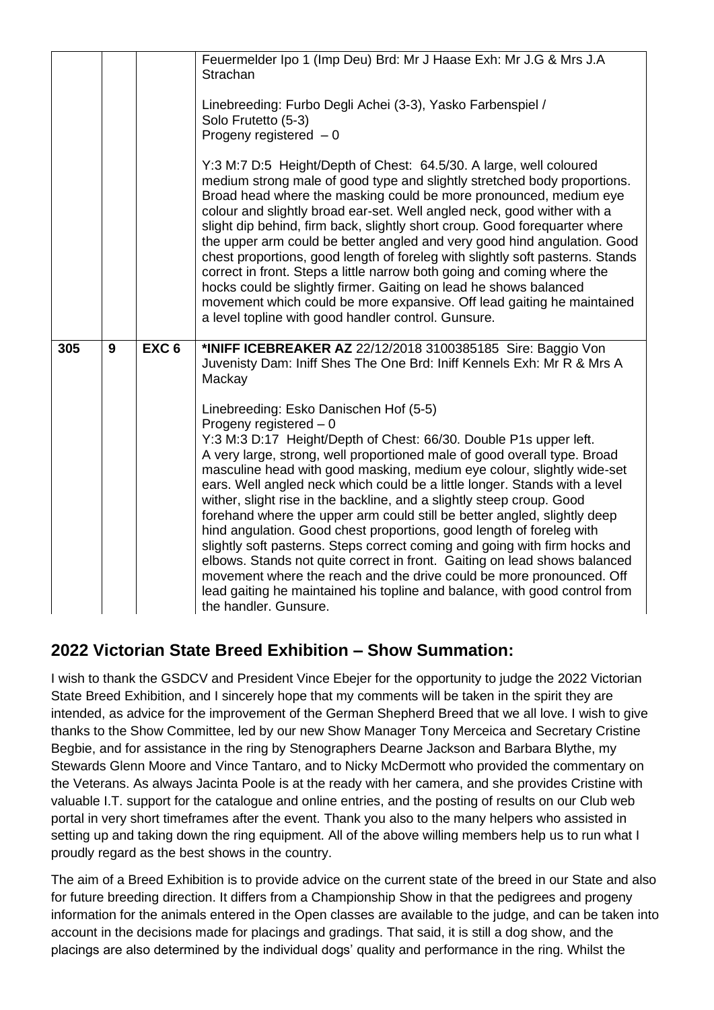|     |   |                  | Feuermelder Ipo 1 (Imp Deu) Brd: Mr J Haase Exh: Mr J.G & Mrs J.A<br>Strachan<br>Linebreeding: Furbo Degli Achei (3-3), Yasko Farbenspiel /<br>Solo Frutetto (5-3)<br>Progeny registered $-0$<br>Y:3 M:7 D:5 Height/Depth of Chest: 64.5/30. A large, well coloured<br>medium strong male of good type and slightly stretched body proportions.<br>Broad head where the masking could be more pronounced, medium eye<br>colour and slightly broad ear-set. Well angled neck, good wither with a<br>slight dip behind, firm back, slightly short croup. Good forequarter where<br>the upper arm could be better angled and very good hind angulation. Good<br>chest proportions, good length of foreleg with slightly soft pasterns. Stands<br>correct in front. Steps a little narrow both going and coming where the<br>hocks could be slightly firmer. Gaiting on lead he shows balanced<br>movement which could be more expansive. Off lead gaiting he maintained<br>a level topline with good handler control. Gunsure.                                                                          |
|-----|---|------------------|------------------------------------------------------------------------------------------------------------------------------------------------------------------------------------------------------------------------------------------------------------------------------------------------------------------------------------------------------------------------------------------------------------------------------------------------------------------------------------------------------------------------------------------------------------------------------------------------------------------------------------------------------------------------------------------------------------------------------------------------------------------------------------------------------------------------------------------------------------------------------------------------------------------------------------------------------------------------------------------------------------------------------------------------------------------------------------------------------|
| 305 | 9 | EXC <sub>6</sub> | *INIFF ICEBREAKER AZ 22/12/2018 3100385185 Sire: Baggio Von<br>Juvenisty Dam: Iniff Shes The One Brd: Iniff Kennels Exh: Mr R & Mrs A<br>Mackay<br>Linebreeding: Esko Danischen Hof (5-5)<br>Progeny registered $-0$<br>Y:3 M:3 D:17 Height/Depth of Chest: 66/30. Double P1s upper left.<br>A very large, strong, well proportioned male of good overall type. Broad<br>masculine head with good masking, medium eye colour, slightly wide-set<br>ears. Well angled neck which could be a little longer. Stands with a level<br>wither, slight rise in the backline, and a slightly steep croup. Good<br>forehand where the upper arm could still be better angled, slightly deep<br>hind angulation. Good chest proportions, good length of foreleg with<br>slightly soft pasterns. Steps correct coming and going with firm hocks and<br>elbows. Stands not quite correct in front. Gaiting on lead shows balanced<br>movement where the reach and the drive could be more pronounced. Off<br>lead gaiting he maintained his topline and balance, with good control from<br>the handler. Gunsure. |

# **2022 Victorian State Breed Exhibition – Show Summation:**

I wish to thank the GSDCV and President Vince Ebejer for the opportunity to judge the 2022 Victorian State Breed Exhibition, and I sincerely hope that my comments will be taken in the spirit they are intended, as advice for the improvement of the German Shepherd Breed that we all love. I wish to give thanks to the Show Committee, led by our new Show Manager Tony Merceica and Secretary Cristine Begbie, and for assistance in the ring by Stenographers Dearne Jackson and Barbara Blythe, my Stewards Glenn Moore and Vince Tantaro, and to Nicky McDermott who provided the commentary on the Veterans. As always Jacinta Poole is at the ready with her camera, and she provides Cristine with valuable I.T. support for the catalogue and online entries, and the posting of results on our Club web portal in very short timeframes after the event. Thank you also to the many helpers who assisted in setting up and taking down the ring equipment. All of the above willing members help us to run what I proudly regard as the best shows in the country.

The aim of a Breed Exhibition is to provide advice on the current state of the breed in our State and also for future breeding direction. It differs from a Championship Show in that the pedigrees and progeny information for the animals entered in the Open classes are available to the judge, and can be taken into account in the decisions made for placings and gradings. That said, it is still a dog show, and the placings are also determined by the individual dogs' quality and performance in the ring. Whilst the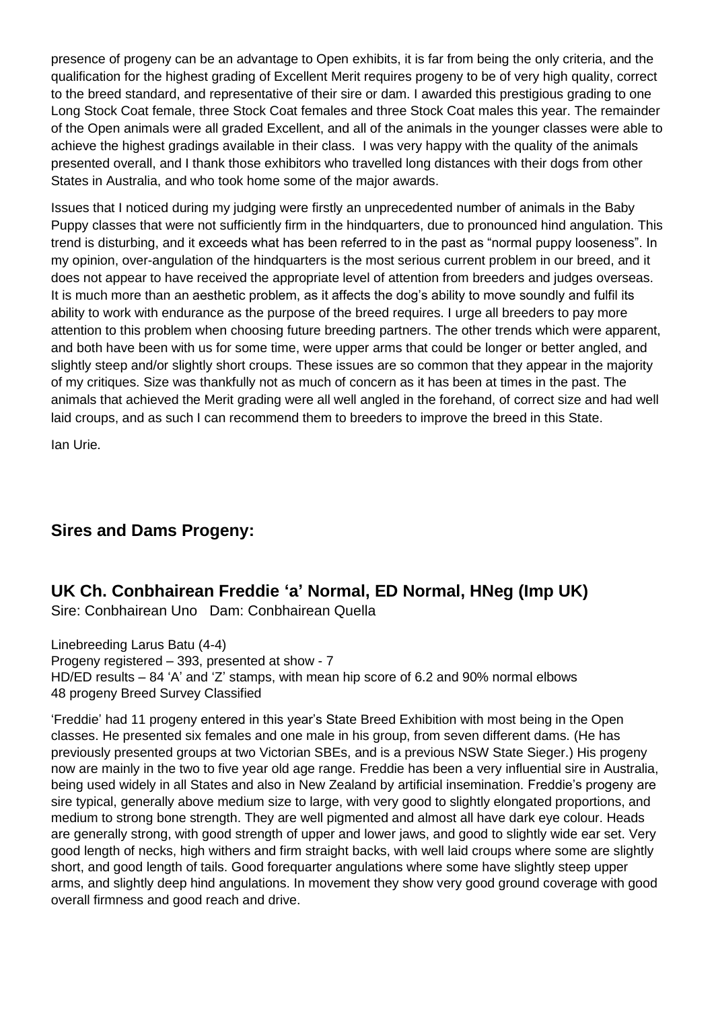presence of progeny can be an advantage to Open exhibits, it is far from being the only criteria, and the qualification for the highest grading of Excellent Merit requires progeny to be of very high quality, correct to the breed standard, and representative of their sire or dam. I awarded this prestigious grading to one Long Stock Coat female, three Stock Coat females and three Stock Coat males this year. The remainder of the Open animals were all graded Excellent, and all of the animals in the younger classes were able to achieve the highest gradings available in their class. I was very happy with the quality of the animals presented overall, and I thank those exhibitors who travelled long distances with their dogs from other States in Australia, and who took home some of the major awards.

Issues that I noticed during my judging were firstly an unprecedented number of animals in the Baby Puppy classes that were not sufficiently firm in the hindquarters, due to pronounced hind angulation. This trend is disturbing, and it exceeds what has been referred to in the past as "normal puppy looseness". In my opinion, over-angulation of the hindquarters is the most serious current problem in our breed, and it does not appear to have received the appropriate level of attention from breeders and judges overseas. It is much more than an aesthetic problem, as it affects the dog's ability to move soundly and fulfil its ability to work with endurance as the purpose of the breed requires. I urge all breeders to pay more attention to this problem when choosing future breeding partners. The other trends which were apparent, and both have been with us for some time, were upper arms that could be longer or better angled, and slightly steep and/or slightly short croups. These issues are so common that they appear in the majority of my critiques. Size was thankfully not as much of concern as it has been at times in the past. The animals that achieved the Merit grading were all well angled in the forehand, of correct size and had well laid croups, and as such I can recommend them to breeders to improve the breed in this State.

Ian Urie.

# **Sires and Dams Progeny:**

## **UK Ch. Conbhairean Freddie 'a' Normal, ED Normal, HNeg (Imp UK)**

Sire: Conbhairean Uno Dam: Conbhairean Quella

Linebreeding Larus Batu (4-4) Progeny registered – 393, presented at show - 7 HD/ED results – 84 'A' and 'Z' stamps, with mean hip score of 6.2 and 90% normal elbows 48 progeny Breed Survey Classified

'Freddie' had 11 progeny entered in this year's State Breed Exhibition with most being in the Open classes. He presented six females and one male in his group, from seven different dams. (He has previously presented groups at two Victorian SBEs, and is a previous NSW State Sieger.) His progeny now are mainly in the two to five year old age range. Freddie has been a very influential sire in Australia, being used widely in all States and also in New Zealand by artificial insemination. Freddie's progeny are sire typical, generally above medium size to large, with very good to slightly elongated proportions, and medium to strong bone strength. They are well pigmented and almost all have dark eye colour. Heads are generally strong, with good strength of upper and lower jaws, and good to slightly wide ear set. Very good length of necks, high withers and firm straight backs, with well laid croups where some are slightly short, and good length of tails. Good forequarter angulations where some have slightly steep upper arms, and slightly deep hind angulations. In movement they show very good ground coverage with good overall firmness and good reach and drive.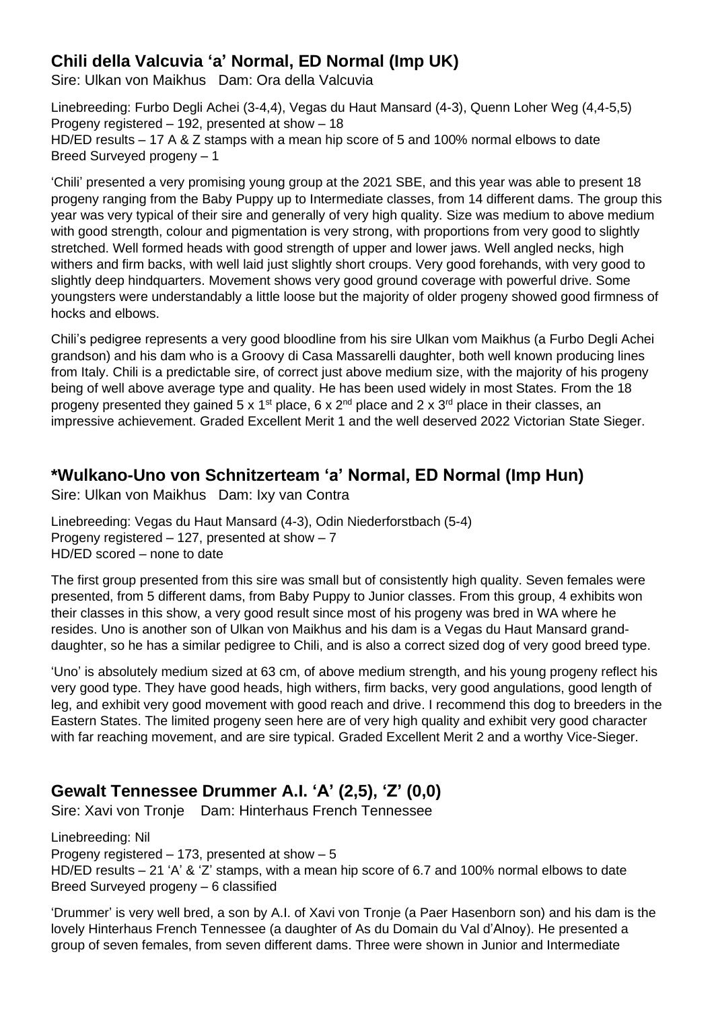# **Chili della Valcuvia 'a' Normal, ED Normal (Imp UK)**

Sire: Ulkan von Maikhus Dam: Ora della Valcuvia

Linebreeding: Furbo Degli Achei (3-4,4), Vegas du Haut Mansard (4-3), Quenn Loher Weg (4,4-5,5) Progeny registered – 192, presented at show – 18 HD/ED results – 17 A & Z stamps with a mean hip score of 5 and 100% normal elbows to date Breed Surveyed progeny – 1

'Chili' presented a very promising young group at the 2021 SBE, and this year was able to present 18 progeny ranging from the Baby Puppy up to Intermediate classes, from 14 different dams. The group this year was very typical of their sire and generally of very high quality. Size was medium to above medium with good strength, colour and pigmentation is very strong, with proportions from very good to slightly stretched. Well formed heads with good strength of upper and lower jaws. Well angled necks, high withers and firm backs, with well laid just slightly short croups. Very good forehands, with very good to slightly deep hindquarters. Movement shows very good ground coverage with powerful drive. Some youngsters were understandably a little loose but the majority of older progeny showed good firmness of hocks and elbows.

Chili's pedigree represents a very good bloodline from his sire Ulkan vom Maikhus (a Furbo Degli Achei grandson) and his dam who is a Groovy di Casa Massarelli daughter, both well known producing lines from Italy. Chili is a predictable sire, of correct just above medium size, with the majority of his progeny being of well above average type and quality. He has been used widely in most States. From the 18 progeny presented they gained 5 x 1<sup>st</sup> place, 6 x 2<sup>nd</sup> place and 2 x 3<sup>rd</sup> place in their classes, an impressive achievement. Graded Excellent Merit 1 and the well deserved 2022 Victorian State Sieger.

## **\*Wulkano-Uno von Schnitzerteam 'a' Normal, ED Normal (Imp Hun)**

Sire: Ulkan von Maikhus Dam: Ixy van Contra

Linebreeding: Vegas du Haut Mansard (4-3), Odin Niederforstbach (5-4) Progeny registered – 127, presented at show – 7 HD/ED scored – none to date

The first group presented from this sire was small but of consistently high quality. Seven females were presented, from 5 different dams, from Baby Puppy to Junior classes. From this group, 4 exhibits won their classes in this show, a very good result since most of his progeny was bred in WA where he resides. Uno is another son of Ulkan von Maikhus and his dam is a Vegas du Haut Mansard granddaughter, so he has a similar pedigree to Chili, and is also a correct sized dog of very good breed type.

'Uno' is absolutely medium sized at 63 cm, of above medium strength, and his young progeny reflect his very good type. They have good heads, high withers, firm backs, very good angulations, good length of leg, and exhibit very good movement with good reach and drive. I recommend this dog to breeders in the Eastern States. The limited progeny seen here are of very high quality and exhibit very good character with far reaching movement, and are sire typical. Graded Excellent Merit 2 and a worthy Vice-Sieger.

# **Gewalt Tennessee Drummer A.I. 'A' (2,5), 'Z' (0,0)**

Sire: Xavi von Tronje Dam: Hinterhaus French Tennessee

Linebreeding: Nil Progeny registered – 173, presented at show – 5 HD/ED results – 21 'A' & 'Z' stamps, with a mean hip score of 6.7 and 100% normal elbows to date Breed Surveyed progeny – 6 classified

'Drummer' is very well bred, a son by A.I. of Xavi von Tronje (a Paer Hasenborn son) and his dam is the lovely Hinterhaus French Tennessee (a daughter of As du Domain du Val d'Alnoy). He presented a group of seven females, from seven different dams. Three were shown in Junior and Intermediate